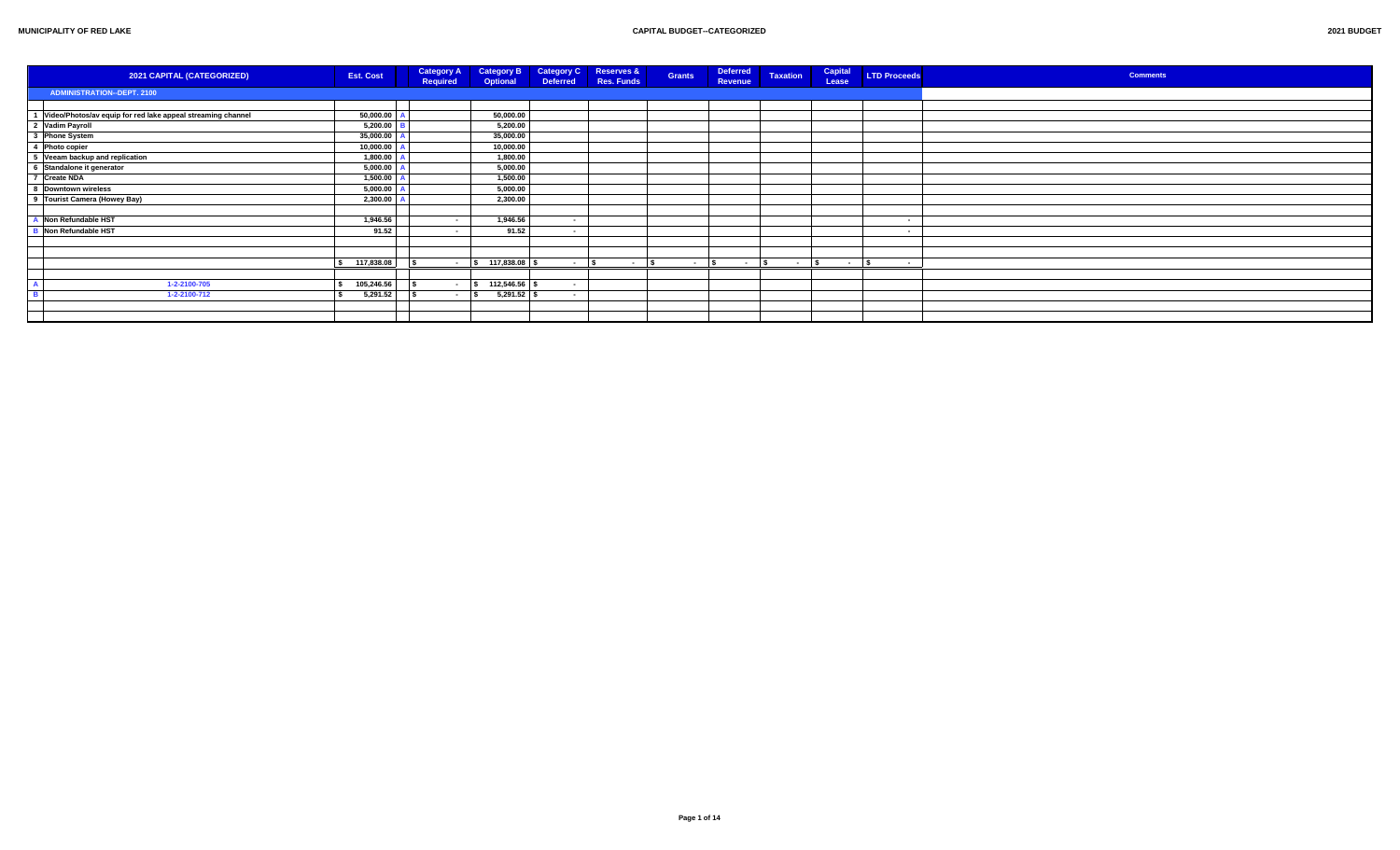| 2021 CAPITAL (CATEGORIZED)                                                                                                                                                                                                      | <b>Est. Cost</b> | <b>Category A</b><br>Required | Category B<br>Optional    | Deferred                 | Category C Reserves &<br>Res. Funds | Grants      | <b>Deferred</b><br>Revenue | Taxation | Capital<br>Lease | <b>LTD Proceeds</b> | <b>Comments</b> |
|---------------------------------------------------------------------------------------------------------------------------------------------------------------------------------------------------------------------------------|------------------|-------------------------------|---------------------------|--------------------------|-------------------------------------|-------------|----------------------------|----------|------------------|---------------------|-----------------|
| <b>ADMINISTRATION--DEPT. 2100</b>                                                                                                                                                                                               |                  |                               |                           |                          |                                     |             |                            |          |                  |                     |                 |
|                                                                                                                                                                                                                                 |                  |                               |                           |                          |                                     |             |                            |          |                  |                     |                 |
| 1 Video/Photos/av equip for red lake appeal streaming channel<br>2 Vadim Payroll<br>3 Phone System<br>4 Photo copier<br>5 Veeam backup and replication<br>5 Veeam backup and replication<br>7 Create NDA<br>8 Downtown wireless | 50,000.00        |                               | 50,000.00                 |                          |                                     |             |                            |          |                  |                     |                 |
|                                                                                                                                                                                                                                 | 5,200.00         |                               | 5,200.00                  |                          |                                     |             |                            |          |                  |                     |                 |
|                                                                                                                                                                                                                                 | 35,000.00        |                               | 35,000.00                 |                          |                                     |             |                            |          |                  |                     |                 |
|                                                                                                                                                                                                                                 | 10,000.00        |                               | 10,000.00                 |                          |                                     |             |                            |          |                  |                     |                 |
|                                                                                                                                                                                                                                 | 1,800.00         |                               | 1,800.00                  |                          |                                     |             |                            |          |                  |                     |                 |
|                                                                                                                                                                                                                                 | 5,000.00         |                               | 5,000.00                  |                          |                                     |             |                            |          |                  |                     |                 |
|                                                                                                                                                                                                                                 | 1,500.00         |                               | 1,500.00                  |                          |                                     |             |                            |          |                  |                     |                 |
|                                                                                                                                                                                                                                 | 5,000.00         |                               | 5,000.00                  |                          |                                     |             |                            |          |                  |                     |                 |
| 9 Tourist Camera (Howey Bay)                                                                                                                                                                                                    | 2,300.00         |                               | 2,300.00                  |                          |                                     |             |                            |          |                  |                     |                 |
|                                                                                                                                                                                                                                 |                  |                               |                           |                          |                                     |             |                            |          |                  |                     |                 |
| A Non Refundable HST                                                                                                                                                                                                            | 1,946.56         |                               | 1,946.56                  | $\sim$                   |                                     |             |                            |          |                  |                     |                 |
| <b>B</b> Non Refundable HST                                                                                                                                                                                                     | 91.52            |                               | 91.52                     | $\sim$                   |                                     |             |                            |          |                  |                     |                 |
|                                                                                                                                                                                                                                 |                  |                               |                           |                          |                                     |             |                            |          |                  |                     |                 |
|                                                                                                                                                                                                                                 |                  |                               |                           |                          |                                     |             |                            |          |                  |                     |                 |
|                                                                                                                                                                                                                                 | 117,838.08       |                               | 117,838.08<br>$ \sqrt{s}$ | $\sim$                   | IS.<br>$\sim$ $\sim$                | $ \sqrt{2}$ | $ s$                       | $ \sim$  | $ \sqrt{s}$      | . .                 |                 |
|                                                                                                                                                                                                                                 |                  |                               |                           |                          |                                     |             |                            |          |                  |                     |                 |
| 1-2-2100-705                                                                                                                                                                                                                    | 105,246.56       |                               | 112,546.56                | $\sim$                   |                                     |             |                            |          |                  |                     |                 |
| 1-2-2100-712                                                                                                                                                                                                                    | 5,291.52         |                               | 5,291.52                  | $\overline{\phantom{a}}$ |                                     |             |                            |          |                  |                     |                 |
|                                                                                                                                                                                                                                 |                  |                               |                           |                          |                                     |             |                            |          |                  |                     |                 |
|                                                                                                                                                                                                                                 |                  |                               |                           |                          |                                     |             |                            |          |                  |                     |                 |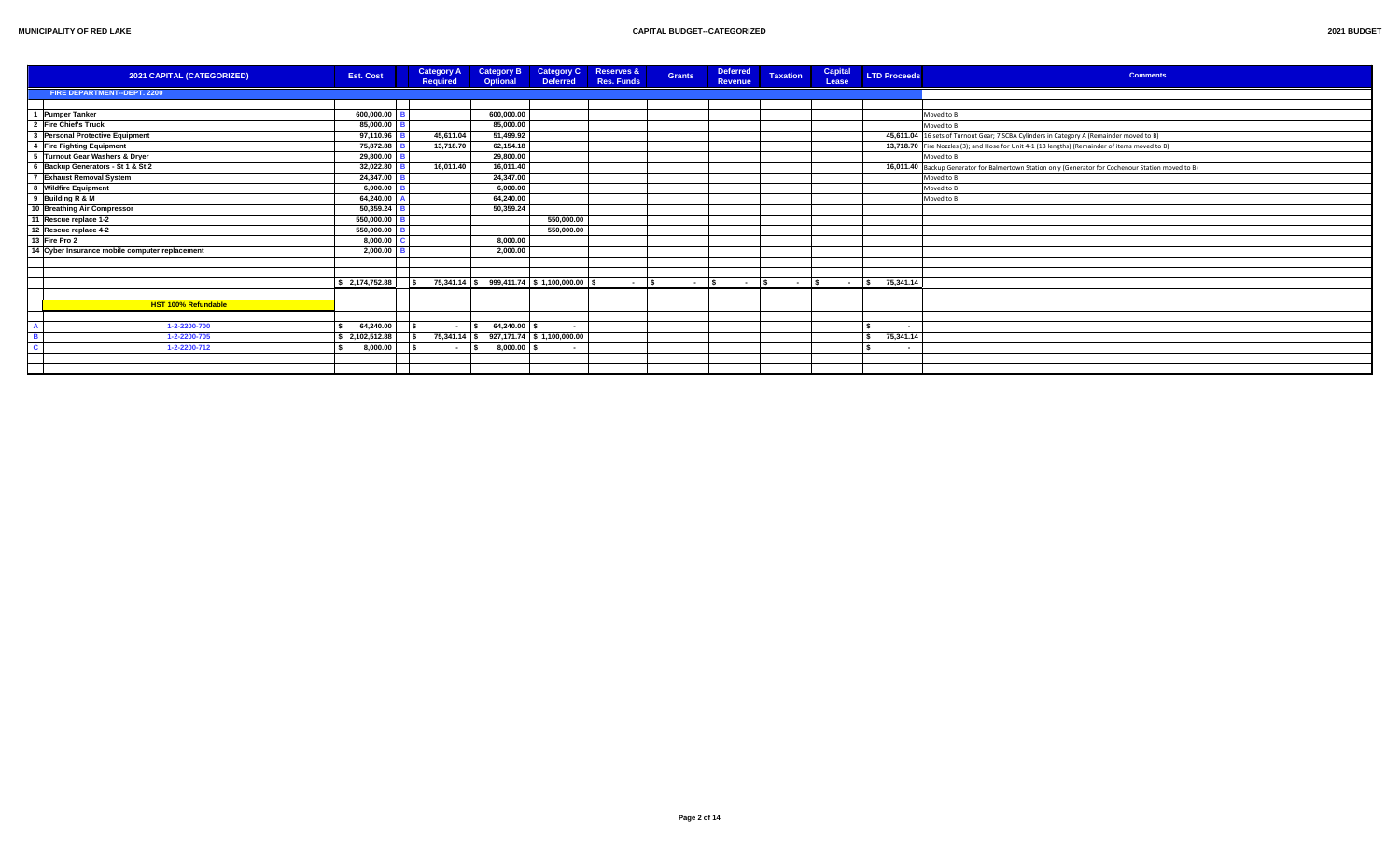| 2021 CAPITAL (CATEGORIZED)                     | Est. Cost      | <b>Category A</b><br><b>Required</b> | <b>Category B</b><br><b>Optional</b>     | <b>Category C</b><br><b>Deferred</b> | <b>Reserves &amp;</b><br>Res. Funds | Grants     | <b>Deferred</b><br>Revenue | <b>Taxation</b> | Capital<br>Lease | <b>LTD Proceeds</b> | <b>Comments</b>                                                                                     |
|------------------------------------------------|----------------|--------------------------------------|------------------------------------------|--------------------------------------|-------------------------------------|------------|----------------------------|-----------------|------------------|---------------------|-----------------------------------------------------------------------------------------------------|
| FIRE DEPARTMENT--DEPT. 2200                    |                |                                      |                                          |                                      |                                     |            |                            |                 |                  |                     |                                                                                                     |
|                                                |                |                                      |                                          |                                      |                                     |            |                            |                 |                  |                     |                                                                                                     |
| 1 Pumper Tanker                                | 600,000.00     |                                      | 600,000.00                               |                                      |                                     |            |                            |                 |                  |                     | Moved to B                                                                                          |
| 2 Fire Chief's Truck                           | 85,000.00      |                                      | 85,000.00                                |                                      |                                     |            |                            |                 |                  |                     | Moved to B                                                                                          |
| 3 Personal Protective Equipment                | 97,110.96      | 45,611.04                            | 51,499.92                                |                                      |                                     |            |                            |                 |                  |                     | 45,611.04 16 sets of Turnout Gear; 7 SCBA Cylinders in Category A (Remainder moved to B)            |
| 4 Fire Fighting Equipment                      | 75,872.88      | 13,718.70                            | 62,154.18                                |                                      |                                     |            |                            |                 |                  |                     | 13,718.70 Fire Nozzles (3); and Hose for Unit 4-1 (18 lengths) (Remainder of items moved to B)      |
| 5 Turnout Gear Washers & Dryer                 | 29,800.00      |                                      | 29,800.00                                |                                      |                                     |            |                            |                 |                  |                     | Moved to B                                                                                          |
| 6 Backup Generators - St 1 & St 2              | 32,022.80      | 16.011.40                            | 16,011.40                                |                                      |                                     |            |                            |                 |                  |                     | 16,011.40 Backup Generator for Balmertown Station only (Generator for Cochenour Station moved to B) |
| 7 Exhaust Removal System                       | 24.347.00      |                                      | 24,347.00                                |                                      |                                     |            |                            |                 |                  |                     | Moved to B                                                                                          |
| 8 Wildfire Equipment                           | 6,000.00       |                                      | 6,000.00                                 |                                      |                                     |            |                            |                 |                  |                     | Moved to B                                                                                          |
| 9 Building R & M                               | 64,240.00      |                                      | 64,240.00                                |                                      |                                     |            |                            |                 |                  |                     | Moved to B                                                                                          |
| 10 Breathing Air Compressor                    | 50,359.24      |                                      | 50,359.24                                |                                      |                                     |            |                            |                 |                  |                     |                                                                                                     |
| 11 Rescue replace 1-2                          | 550.000.00     |                                      |                                          | 550.000.00                           |                                     |            |                            |                 |                  |                     |                                                                                                     |
| 12 Rescue replace 4-2                          | 550,000.00     |                                      |                                          | 550.000.00                           |                                     |            |                            |                 |                  |                     |                                                                                                     |
| 13 Fire Pro 2                                  | 8,000.00       |                                      | 8.000.00                                 |                                      |                                     |            |                            |                 |                  |                     |                                                                                                     |
| 14 Cyber Insurance mobile computer replacement | 2,000.00       |                                      | 2.000.00                                 |                                      |                                     |            |                            |                 |                  |                     |                                                                                                     |
|                                                |                |                                      |                                          |                                      |                                     |            |                            |                 |                  |                     |                                                                                                     |
|                                                |                |                                      |                                          |                                      |                                     |            |                            |                 |                  |                     |                                                                                                     |
|                                                | \$2,174,752.88 |                                      | 75,341.14 \$999,411.74 \$1,100,000.00 \$ |                                      | $-15$                               | $ \vert$ s | $ \vert$ s                 | $\sim$ $\sim$   | $ \sqrt{2}$      | 75,341.14           |                                                                                                     |
|                                                |                |                                      |                                          |                                      |                                     |            |                            |                 |                  |                     |                                                                                                     |
| <b>HST 100% Refundable</b>                     |                |                                      |                                          |                                      |                                     |            |                            |                 |                  |                     |                                                                                                     |
|                                                |                |                                      |                                          |                                      |                                     |            |                            |                 |                  |                     |                                                                                                     |
| 1-2-2200-700                                   | 64,240.00      |                                      | 64,240.00 \$<br>$ \sqrt{5}$              | $\sim$ 100 $\mu$                     |                                     |            |                            |                 |                  |                     |                                                                                                     |
| 1-2-2200-705                                   | \$2,102,512.88 |                                      | 75,341.14 \$ 927,171.74 \$ 1,100,000.00  |                                      |                                     |            |                            |                 |                  | 75,341.14           |                                                                                                     |
| 1-2-2200-712                                   | 8,000.00       | $\sim$                               | $8,000.00$ \$                            | $\sim$                               |                                     |            |                            |                 |                  |                     |                                                                                                     |
|                                                |                |                                      |                                          |                                      |                                     |            |                            |                 |                  |                     |                                                                                                     |
|                                                |                |                                      |                                          |                                      |                                     |            |                            |                 |                  |                     |                                                                                                     |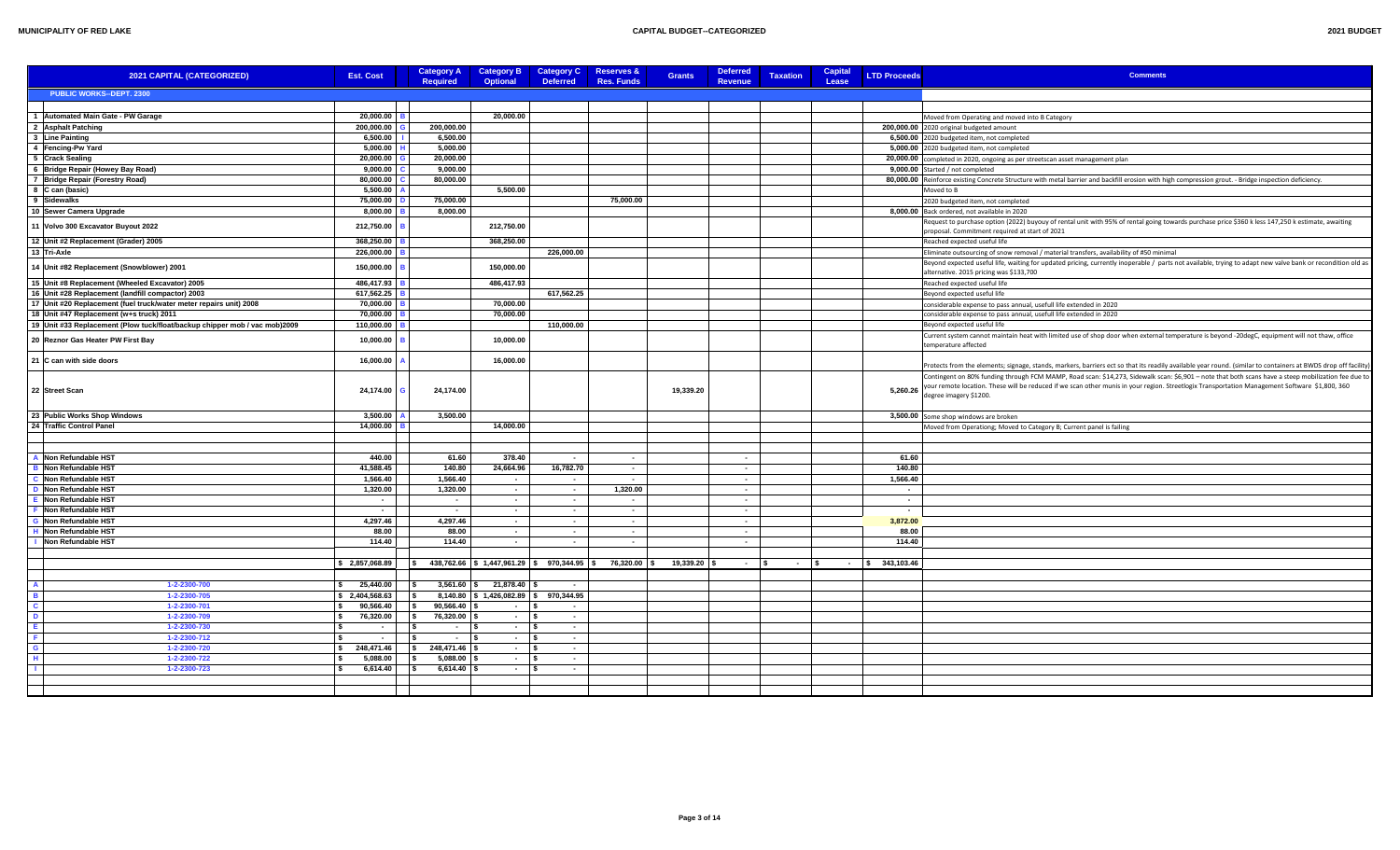| 2021 CAPITAL (CATEGORIZED)                                                 | <b>Est. Cost</b>     | <b>Category A</b><br><b>Required</b>           | <b>Category B</b><br><b>Optional</b> | Category C<br><b>Deferred</b>             | <b>Reserves &amp;</b><br><b>Res. Funds</b> | <b>Grants</b> | <b>Deferred</b><br><b>Revenue</b> | <b>Taxation</b> | <b>Capital</b><br>Lease | <b>LTD Proceeds</b> | <b>Comments</b>                                                                                                                                                                                                                                                                                       |
|----------------------------------------------------------------------------|----------------------|------------------------------------------------|--------------------------------------|-------------------------------------------|--------------------------------------------|---------------|-----------------------------------|-----------------|-------------------------|---------------------|-------------------------------------------------------------------------------------------------------------------------------------------------------------------------------------------------------------------------------------------------------------------------------------------------------|
| <b>PUBLIC WORKS-DEPT. 2300</b>                                             |                      |                                                |                                      |                                           |                                            |               |                                   |                 |                         |                     |                                                                                                                                                                                                                                                                                                       |
|                                                                            |                      |                                                |                                      |                                           |                                            |               |                                   |                 |                         |                     |                                                                                                                                                                                                                                                                                                       |
| Automated Main Gate - PW Garage                                            | 20,000.00            |                                                | 20,000.00                            |                                           |                                            |               |                                   |                 |                         |                     | Moved from Operating and moved into B Category                                                                                                                                                                                                                                                        |
| 2 Asphalt Patching                                                         | 200.000.00           | 200.000.00                                     |                                      |                                           |                                            |               |                                   |                 |                         |                     | 200,000.00 2020 original budgeted amount                                                                                                                                                                                                                                                              |
| 3 Line Painting                                                            | 6,500.00             | 6.500.00                                       |                                      |                                           |                                            |               |                                   |                 |                         |                     | 6,500.00 2020 budgeted item, not completed                                                                                                                                                                                                                                                            |
| 4 Fencing-Pw Yard                                                          | 5,000.00             | 5.000.00                                       |                                      |                                           |                                            |               |                                   |                 |                         |                     | 5,000.00 2020 budgeted item, not completed                                                                                                                                                                                                                                                            |
| 5 Crack Sealing                                                            | 20,000.00            | 20,000.00                                      |                                      |                                           |                                            |               |                                   |                 |                         |                     | 20,000.00 completed in 2020, ongoing as per streetscan asset management plan                                                                                                                                                                                                                          |
| 6 Bridge Repair (Howey Bay Road)                                           | 9,000.00             | 9,000.00                                       |                                      |                                           |                                            |               |                                   |                 |                         |                     | 9,000.00 Started / not completed                                                                                                                                                                                                                                                                      |
| 7 Bridge Repair (Forestry Road)                                            | 80.000.00            | 80.000.00                                      |                                      |                                           |                                            |               |                                   |                 |                         |                     | 80,000.00 Reinforce existing Concrete Structure with metal barrier and backfill erosion with high compression grout. - Bridge inspection deficiency.                                                                                                                                                  |
| 8 C can (basic)                                                            | 5,500.00             |                                                | 5,500.00                             |                                           |                                            |               |                                   |                 |                         |                     | Moved to B                                                                                                                                                                                                                                                                                            |
| 9 Sidewalks                                                                | 75,000.00            | 75,000.00                                      |                                      |                                           | 75.000.00                                  |               |                                   |                 |                         |                     | 2020 budgeted item, not completed                                                                                                                                                                                                                                                                     |
| 10 Sewer Camera Upgrade                                                    | 8,000.00             | 8,000.00                                       |                                      |                                           |                                            |               |                                   |                 |                         |                     | 8,000.00 Back ordered, not available in 2020                                                                                                                                                                                                                                                          |
| 11 Volvo 300 Excavator Buyout 2022                                         | 212,750.00           |                                                | 212,750.00                           |                                           |                                            |               |                                   |                 |                         |                     | Request to purchase option (2022) buyouy of rental unit with 95% of rental going towards purchase price \$360 k less 147,250 k estimate, awaiting<br>proposal. Commitment required at start of 2021                                                                                                   |
| 12 Unit #2 Replacement (Grader) 2005                                       | 368,250.00           |                                                | 368.250.00                           |                                           |                                            |               |                                   |                 |                         |                     | Reached expected useful life                                                                                                                                                                                                                                                                          |
| 13 Tri-Axle                                                                | 226,000.00           |                                                |                                      | 226.000.00                                |                                            |               |                                   |                 |                         |                     | Eliminate outsourcing of snow removal / material transfers, availability of #50 minimal                                                                                                                                                                                                               |
| 14 Unit #82 Replacement (Snowblower) 2001                                  | 150,000.00           |                                                | 150,000.00                           |                                           |                                            |               |                                   |                 |                         |                     | Beyond expected useful life, waiting for updated pricing, currently inoperable / parts not available, trying to adapt new valve bank or recondition old as<br>alternative. 2015 pricing was \$133,700                                                                                                 |
| 15 Unit #8 Replacement (Wheeled Excavator) 2005                            | 486,417.93           |                                                | 486,417.93                           |                                           |                                            |               |                                   |                 |                         |                     | Reached expected useful life                                                                                                                                                                                                                                                                          |
| 16 Unit #28 Replacement (landfill compactor) 2003                          | 617,562.25           |                                                |                                      | 617,562.25                                |                                            |               |                                   |                 |                         |                     | Beyond expected useful life                                                                                                                                                                                                                                                                           |
| 17 Unit #20 Replacement (fuel truck/water meter repairs unit) 2008         | 70,000.00            |                                                | 70,000.00                            |                                           |                                            |               |                                   |                 |                         |                     | considerable expense to pass annual, usefull life extended in 2020                                                                                                                                                                                                                                    |
| 18 Unit #47 Replacement (w+s truck) 2011                                   | 70,000.00            |                                                | 70,000.00                            |                                           |                                            |               |                                   |                 |                         |                     | considerable expense to pass annual, usefull life extended in 2020                                                                                                                                                                                                                                    |
| 19 Unit #33 Replacement (Plow tuck/float/backup chipper mob / vac mob)2009 | 110,000.00           |                                                |                                      | 110.000.00                                |                                            |               |                                   |                 |                         |                     | Beyond expected useful life                                                                                                                                                                                                                                                                           |
| 20 Reznor Gas Heater PW First Bay                                          | 10,000.00            |                                                | 10,000.00                            |                                           |                                            |               |                                   |                 |                         |                     | Current system cannot maintain heat with limited use of shop door when external temperature is beyond -20degC, equipment will not thaw, office<br>temperature affected                                                                                                                                |
| 21 C can with side doors                                                   | 16,000.00            |                                                | 16,000.00                            |                                           |                                            |               |                                   |                 |                         |                     | Protects from the elements; signage, stands, markers, barriers ect so that its readily available year round. (similar to containers at BWDS drop off facility                                                                                                                                         |
| 22 Street Scan                                                             | 24,174.00            | 24,174.00                                      |                                      |                                           |                                            | 19,339.20     |                                   |                 |                         | 5,260.26            | Contingent on 80% funding through FCM MAMP, Road scan: \$14,273, Sidewalk scan: \$6,901 - note that both scans have a steep mobilization fee due to<br>your remote location. These will be reduced if we scan other munis in your region. Streetlogix Transportation Management Software \$1,800, 360 |
|                                                                            |                      |                                                |                                      |                                           |                                            |               |                                   |                 |                         |                     | degree imagery \$1200.                                                                                                                                                                                                                                                                                |
| 23 Public Works Shop Windows                                               | 3.500.00             | 3,500.00                                       |                                      |                                           |                                            |               |                                   |                 |                         |                     | 3,500.00 Some shop windows are broken                                                                                                                                                                                                                                                                 |
| 24 Traffic Control Panel                                                   | 14,000.00            |                                                | 14,000.00                            |                                           |                                            |               |                                   |                 |                         |                     | Moved from Operationg; Moved to Category B; Current panel is failing                                                                                                                                                                                                                                  |
|                                                                            |                      |                                                |                                      |                                           |                                            |               |                                   |                 |                         |                     |                                                                                                                                                                                                                                                                                                       |
|                                                                            |                      |                                                |                                      |                                           |                                            |               |                                   |                 |                         |                     |                                                                                                                                                                                                                                                                                                       |
| Non Refundable HST                                                         | 440.00               | 61.60                                          | 378.40                               | $\sim$                                    | $\sim$ $-$                                 |               | $\sim$                            |                 |                         | 61.60               |                                                                                                                                                                                                                                                                                                       |
| Non Refundable HST                                                         | 41,588.45            | 140.80                                         | 24,664.96                            | 16,782.70                                 | $\sim$                                     |               | $\sim$                            |                 |                         | 140.80              |                                                                                                                                                                                                                                                                                                       |
| Mon Refundable HST                                                         | 1,566.40<br>1,320.00 | 1,566.40<br>1,320.00                           | $\sim$                               | $\sim$                                    | $\sim$<br>1,320.00                         |               | $\sim$<br>$\sim$                  |                 |                         | 1,566.40<br>$\sim$  |                                                                                                                                                                                                                                                                                                       |
| Non Refundable HS1<br>Non Refundable HST                                   | $\sim$               | $\sim$ $-$                                     | $\sim$<br>$\sim 10^{-1}$             | $\sim$ $-$<br>$\sim 10^{-11}$             | $\sim$ 100 $\mu$                           |               | $\sim$ $-$                        |                 |                         | $\sim$              |                                                                                                                                                                                                                                                                                                       |
| Non Refundable HST                                                         | $\sim$               | $\sim$                                         | $\sim$                               | $\sim$                                    | $\sim$                                     |               | $\sim$                            |                 |                         |                     |                                                                                                                                                                                                                                                                                                       |
| Non Refundable HST                                                         | 4,297.46             | 4,297.46                                       | $\sim 100$                           | $\sim$                                    | $\sim$ $-$                                 |               | $\sim$ $-$                        |                 |                         | 3,872.00            |                                                                                                                                                                                                                                                                                                       |
| Non Refundable HST                                                         | 88.00                | 88.00                                          | $\sim$                               | $\sim$                                    | $\sim$                                     |               | $\sim$                            |                 |                         | 88.00               |                                                                                                                                                                                                                                                                                                       |
| Non Refundable HST                                                         | 114.40               | 114.40                                         | $\sim$                               | $\sim$                                    | $\sim$                                     |               | $\sim$                            |                 |                         | 114.40              |                                                                                                                                                                                                                                                                                                       |
|                                                                            |                      |                                                |                                      |                                           |                                            |               |                                   |                 |                         |                     |                                                                                                                                                                                                                                                                                                       |
|                                                                            | \$2,857,068.89       | l s                                            |                                      | 438,762.66 \$1,447,961.29 \$970,344.95 \$ | 76,320.00 \$                               | 19,339.20 \$  | $ s$                              | $ \sim$         |                         | $-$ \$ 343,103.46   |                                                                                                                                                                                                                                                                                                       |
|                                                                            |                      |                                                |                                      |                                           |                                            |               |                                   |                 |                         |                     |                                                                                                                                                                                                                                                                                                       |
| 1-2-2300-700                                                               | 25,440.00<br>s.      | $3,561.60$ \$                                  | 21,878.40                            | $\sim$ $-$                                |                                            |               |                                   |                 |                         |                     |                                                                                                                                                                                                                                                                                                       |
| 1-2-2300-705                                                               | \$2,404,568.63       |                                                | 8,140.80 \$1,426,082.89 \$           | 970,344.95                                |                                            |               |                                   |                 |                         |                     |                                                                                                                                                                                                                                                                                                       |
| 1-2-2300-701                                                               | 90,566.40<br>s       | 90,566.40<br>۱s                                | <b>Contract</b>                      | $\sim$ $-$                                |                                            |               |                                   |                 |                         |                     |                                                                                                                                                                                                                                                                                                       |
| 1-2-2300-709                                                               | 76,320.00<br>s.      | 76,320.00<br>l s                               | $\sim$ 100 $\mu$                     | $\sim$                                    |                                            |               |                                   |                 |                         |                     |                                                                                                                                                                                                                                                                                                       |
| 1-2-2300-730                                                               | s.<br>$\sim$<br>s.   | l s<br>$\sim$                                  | $\cdot$ S<br>- 15                    | $\sim$                                    |                                            |               |                                   |                 |                         |                     |                                                                                                                                                                                                                                                                                                       |
| 1-2-2300-712<br>G                                                          | $\sim$<br>248,471.46 | l s<br>$\sim$                                  | ŝ.<br>$ s$<br>$-$ s                  | $\sim$ $-$<br>$\sim$                      |                                            |               |                                   |                 |                         |                     |                                                                                                                                                                                                                                                                                                       |
| 1-2-2300-720<br>1-2-2300-722<br>н                                          | \$<br>5,088.00<br>s. | 248,471.46 \$<br>$\sqrt{2}$<br>5,088.00<br>l s | $ s$                                 | $\sim$ $-$                                |                                            |               |                                   |                 |                         |                     |                                                                                                                                                                                                                                                                                                       |
| 1-2-2300-723                                                               | s.<br>6,614.40       | $6.614.40$ \$<br>۱s                            | $ \sqrt{5}$                          | $\sim$                                    |                                            |               |                                   |                 |                         |                     |                                                                                                                                                                                                                                                                                                       |
|                                                                            |                      |                                                |                                      |                                           |                                            |               |                                   |                 |                         |                     |                                                                                                                                                                                                                                                                                                       |
|                                                                            |                      |                                                |                                      |                                           |                                            |               |                                   |                 |                         |                     |                                                                                                                                                                                                                                                                                                       |
|                                                                            |                      |                                                |                                      |                                           |                                            |               |                                   |                 |                         |                     |                                                                                                                                                                                                                                                                                                       |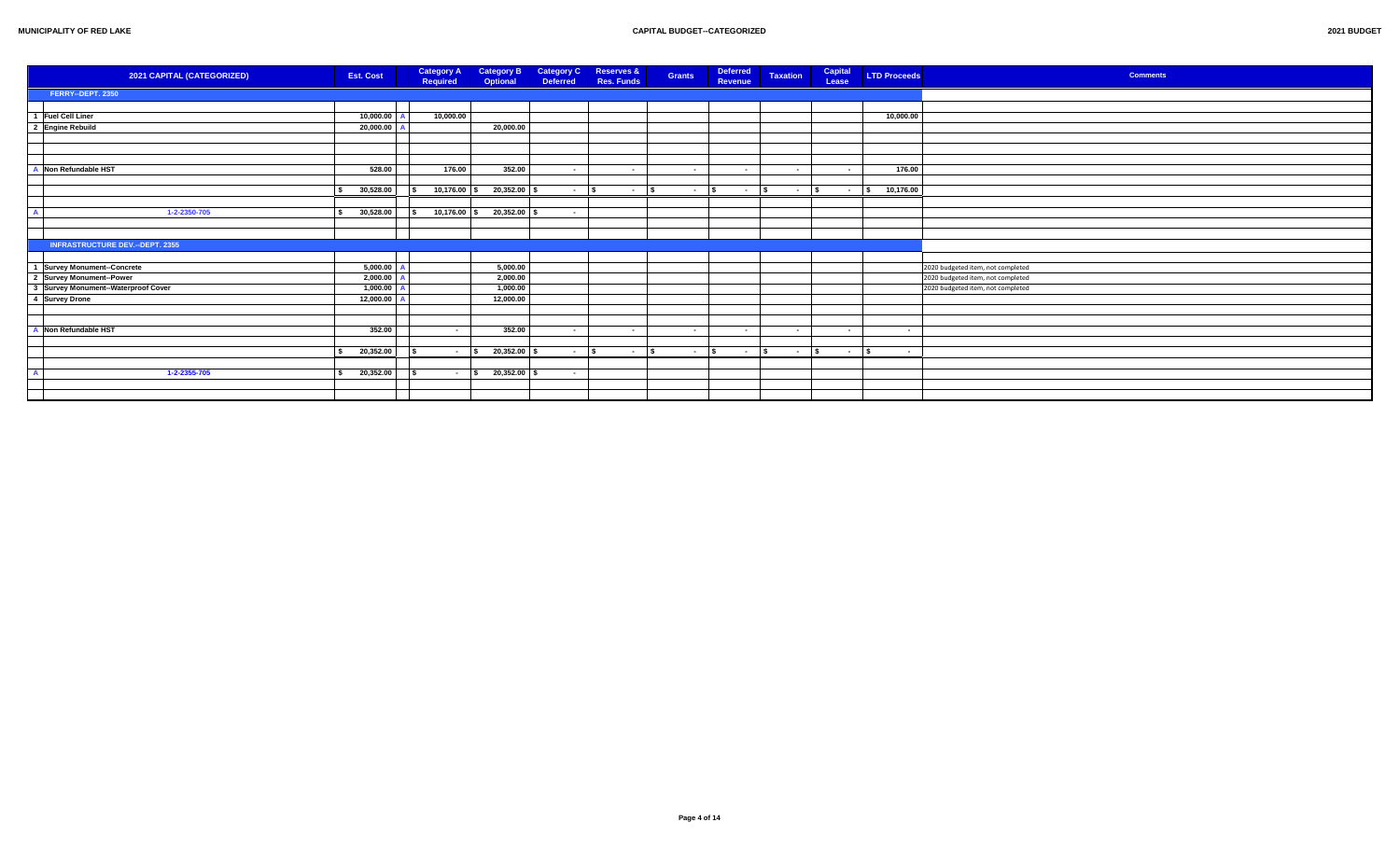| 2021 CAPITAL (CATEGORIZED)             | <b>Est. Cost</b> | <b>Category A</b><br>Required | <b>Category B</b><br>Optional            | Category C<br><b>Deferred</b> | <b>Reserves &amp;</b><br>Res. Funds | Grants                   | <b>Deferred</b><br>Revenue | <b>Taxation</b>      | Capital<br>Lease | <b>LTD Proceeds</b>   | <b>Comments</b>                   |
|----------------------------------------|------------------|-------------------------------|------------------------------------------|-------------------------------|-------------------------------------|--------------------------|----------------------------|----------------------|------------------|-----------------------|-----------------------------------|
| FERRY--DEPT. 2350                      |                  |                               |                                          |                               |                                     |                          |                            |                      |                  |                       |                                   |
|                                        |                  |                               |                                          |                               |                                     |                          |                            |                      |                  |                       |                                   |
| 1 Fuel Cell Liner                      | 10,000.00        | 10,000.00                     |                                          |                               |                                     |                          |                            |                      |                  | 10,000.00             |                                   |
| 2 Engine Rebuild                       | 20,000.00        |                               | 20,000.00                                |                               |                                     |                          |                            |                      |                  |                       |                                   |
|                                        |                  |                               |                                          |                               |                                     |                          |                            |                      |                  |                       |                                   |
|                                        |                  |                               |                                          |                               |                                     |                          |                            |                      |                  |                       |                                   |
|                                        |                  |                               |                                          |                               |                                     |                          |                            |                      |                  |                       |                                   |
| Non Refundable HST                     | 528.00           | 176.00                        | 352.00                                   | $\sim$                        | $\sim$                              | $\sim$ $-$               | $\sim$ 100 $\mu$           | $\sim$               | $\sim$           | 176.00                |                                   |
|                                        |                  |                               |                                          |                               |                                     |                          |                            |                      |                  |                       |                                   |
|                                        | 30,528.00        | $10,176.00$ \$                | 20,352.00                                | $\sim$ $\sim$                 | $\sim$ $\sim$                       | <b>Contract Contract</b> | $ \sqrt{2}$                | $\sim$ $\sim$ $\sim$ |                  | 10,176.00<br>$-$ \$   |                                   |
|                                        |                  |                               |                                          |                               |                                     |                          |                            |                      |                  |                       |                                   |
| 1-2-2350-705                           | 30,528.00        | $10,176.00$ \$<br>IS.         | 20,352.00 \$                             | $\sim$                        |                                     |                          |                            |                      |                  |                       |                                   |
|                                        |                  |                               |                                          |                               |                                     |                          |                            |                      |                  |                       |                                   |
|                                        |                  |                               |                                          |                               |                                     |                          |                            |                      |                  |                       |                                   |
| <b>INFRASTRUCTURE DEV.--DEPT. 2355</b> |                  |                               |                                          |                               |                                     |                          |                            |                      |                  |                       |                                   |
|                                        |                  |                               |                                          |                               |                                     |                          |                            |                      |                  |                       |                                   |
| 1 Survey Monument--Concrete            | 5,000.00         |                               | 5,000.00                                 |                               |                                     |                          |                            |                      |                  |                       | 2020 budgeted item, not completed |
| 2 Survey Monument--Power               | 2,000.00         |                               | 2,000.00                                 |                               |                                     |                          |                            |                      |                  |                       | 2020 budgeted item, not completed |
| 3 Survey Monument--Waterproof Cover    | 1,000.00         |                               | 1,000.00                                 |                               |                                     |                          |                            |                      |                  |                       | 2020 budgeted item, not completed |
| 4 Survey Drone                         | 12,000.00        |                               | 12,000.00                                |                               |                                     |                          |                            |                      |                  |                       |                                   |
|                                        |                  |                               |                                          |                               |                                     |                          |                            |                      |                  |                       |                                   |
|                                        |                  |                               |                                          |                               |                                     |                          |                            |                      |                  |                       |                                   |
| A Non Refundable HST                   | 352.00           | $\sim$                        | 352.00                                   | $\sim$                        | $\sim$                              | $\sim$                   | $\sim$                     | $\sim$               | $\sim$           | $\sim$                |                                   |
|                                        |                  |                               |                                          |                               |                                     |                          |                            |                      |                  |                       |                                   |
|                                        | 20,352.00        | $\sim$                        | 20,352.00 \$<br>$\overline{\phantom{a}}$ | $ \sim$                       | $ \sqrt{s}$                         | $-1$ s                   | $ \sqrt{s}$                | $\sim$ $\sim$ $\sim$ |                  | $ \sqrt{s}$<br>$\sim$ |                                   |
|                                        |                  |                               |                                          |                               |                                     |                          |                            |                      |                  |                       |                                   |
| 1-2-2355-705                           | 20,352.00        |                               | $-$ \$ 20,352.00                         | $\sim$                        |                                     |                          |                            |                      |                  |                       |                                   |
|                                        |                  |                               |                                          |                               |                                     |                          |                            |                      |                  |                       |                                   |
|                                        |                  |                               |                                          |                               |                                     |                          |                            |                      |                  |                       |                                   |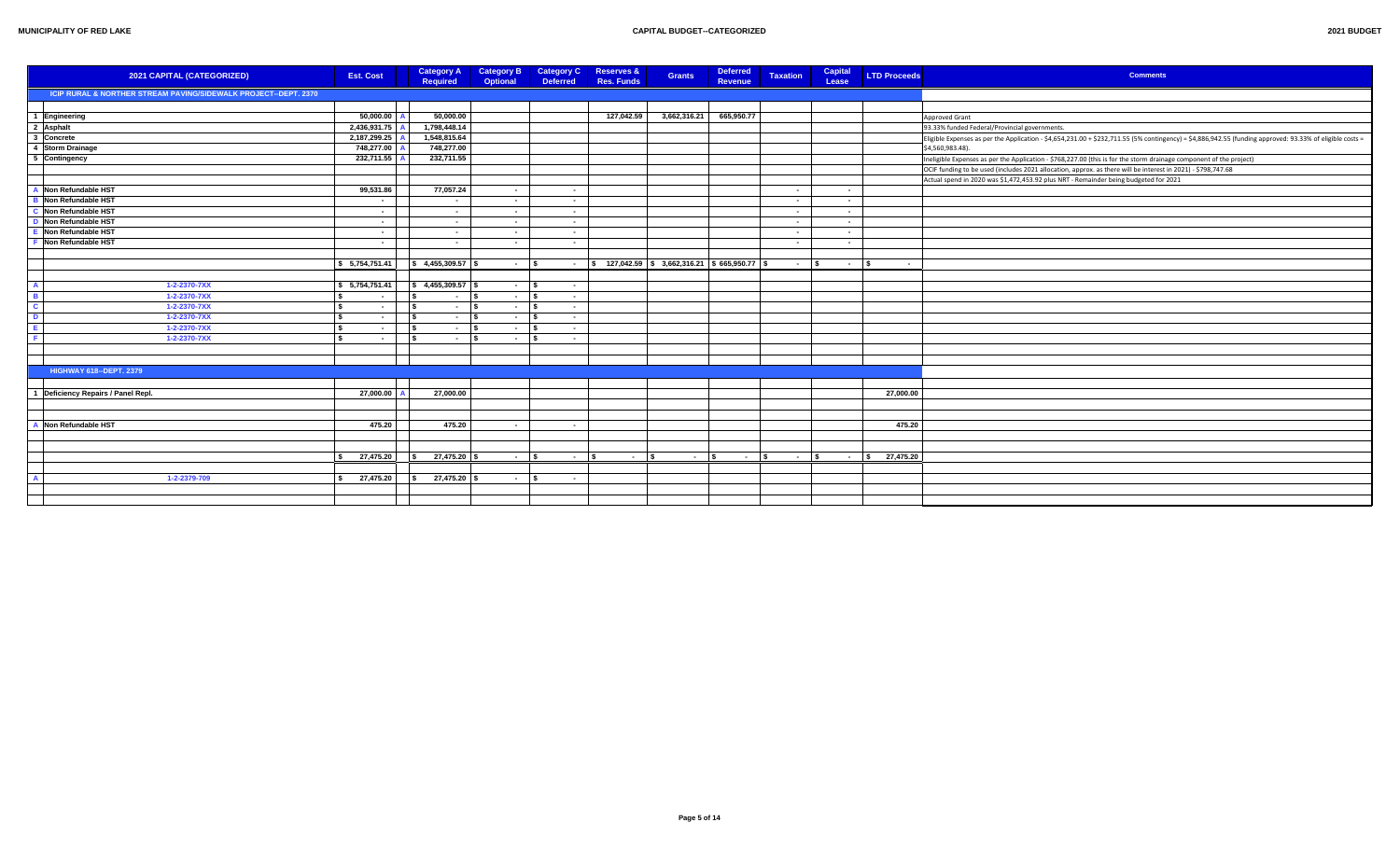| 2021 BUDGET |
|-------------|
|             |

| 2021 CAPITAL (CATEGORIZED)                                      | <b>Est. Cost</b>         | <b>Category A</b><br>Required           | <b>Category B</b><br>Optional | <b>Category C</b><br>Deferred | <b>Reserves &amp;</b><br>Res. Funds | <b>Grants</b>                                                | <b>Deferred</b><br>Revenue | <b>Taxation</b> | Capital<br>Lease | <b>LTD Proceeds</b>       | <b>Comments</b>                                                                                                                                          |
|-----------------------------------------------------------------|--------------------------|-----------------------------------------|-------------------------------|-------------------------------|-------------------------------------|--------------------------------------------------------------|----------------------------|-----------------|------------------|---------------------------|----------------------------------------------------------------------------------------------------------------------------------------------------------|
| ICIP RURAL & NORTHER STREAM PAVING/SIDEWALK PROJECT--DEPT. 2370 |                          |                                         |                               |                               |                                     |                                                              |                            |                 |                  |                           |                                                                                                                                                          |
|                                                                 |                          |                                         |                               |                               |                                     |                                                              |                            |                 |                  |                           |                                                                                                                                                          |
| 1 Engineering                                                   | 50,000.00                | 50.000.00                               |                               |                               | 127.042.59                          | 3,662,316.21                                                 | 665,950.77                 |                 |                  |                           | Approved Grant                                                                                                                                           |
| 2 Asphalt                                                       | 2,436,931.75             | 1,798,448.14                            |                               |                               |                                     |                                                              |                            |                 |                  |                           | 93.33% funded Federal/Provincial governments.                                                                                                            |
| 3 Concrete                                                      | 2,187,299.25             | 1,548,815.64                            |                               |                               |                                     |                                                              |                            |                 |                  |                           | Eligible Expenses as per the Application - \$4,654,231.00 + \$232,711.55 (5% contingency) = \$4,886,942.55 (funding approved: 93.33% of eligible costs = |
| 4 Storm Drainage                                                | 748,277.00               | 748,277.00                              |                               |                               |                                     |                                                              |                            |                 |                  |                           | \$4,560,983,48).                                                                                                                                         |
| 5 Contingency                                                   | 232,711.55               | 232,711.55                              |                               |                               |                                     |                                                              |                            |                 |                  |                           | Ineligible Expenses as per the Application - \$768,227.00 (this is for the storm drainage component of the project)                                      |
|                                                                 |                          |                                         |                               |                               |                                     |                                                              |                            |                 |                  |                           | OCIF funding to be used (includes 2021 allocation, approx. as there will be interest in 2021) - \$798,747.68                                             |
|                                                                 |                          |                                         |                               |                               |                                     |                                                              |                            |                 |                  |                           | Actual spend in 2020 was \$1,472,453.92 plus NRT - Remainder being budgeted for 2021                                                                     |
| A Non Refundable HST                                            | 99,531.86                | 77,057.24                               | $\sim$                        | $\sim$ $-$                    |                                     |                                                              |                            | $\sim$          | $\sim$           |                           |                                                                                                                                                          |
| <b>B</b> Non Refundable HST                                     | $\sim$                   | $\sim$                                  | $\sim$ $-$                    | $\sim$ $-$                    |                                     |                                                              |                            | $\sim$          | $\sim$           |                           |                                                                                                                                                          |
| Non Refundable HST                                              | $\overline{\phantom{a}}$ | $\sim$                                  | $\sim$ $-$                    | $\sim$                        |                                     |                                                              |                            | $\sim$          | $\sim$           |                           |                                                                                                                                                          |
| <b>D</b> Non Refundable HST                                     | $\sim$                   | $\sim$                                  | $\sim$                        | $\sim 100$                    |                                     |                                                              |                            | $\sim$          | $\sim$           |                           |                                                                                                                                                          |
| Non Refundable HST                                              | $\sim$                   | $\sim$                                  | $\sim$                        | $\sim$ $-$                    |                                     |                                                              |                            | $\sim$          | $\sim$           |                           |                                                                                                                                                          |
| Non Refundable HST                                              | $\sim$                   | $\sim$                                  | $\sim$ $-$                    | $\sim$                        |                                     |                                                              |                            | $\sim$          | $\sim$           |                           |                                                                                                                                                          |
|                                                                 |                          |                                         |                               |                               |                                     |                                                              |                            |                 |                  |                           |                                                                                                                                                          |
|                                                                 | \$5,754,751.41           | $$4,455,309.57$ \\$                     | $ \vert$ s                    |                               |                                     | $\frac{1}{2}$ \$ 127,042.59 \$ 3,662,316.21 \$ 665,950.77 \$ |                            | $ \sim$         | $\sim$           | l S<br>$\sim$             |                                                                                                                                                          |
|                                                                 |                          |                                         |                               |                               |                                     |                                                              |                            |                 |                  |                           |                                                                                                                                                          |
| 1-2-2370-7XX                                                    | \$5,754,751.41           | $\frac{1}{2}$ \$ 4,455,309.57 \$        | $ s$                          | $\sim$ $-$                    |                                     |                                                              |                            |                 |                  |                           |                                                                                                                                                          |
| 1-2-2370-7XX                                                    | $\overline{\phantom{a}}$ | $\mathsf{I}$<br>$ \sim$                 | $\sim$ $\sim$ $\sim$          | $\sim$ $-$                    |                                     |                                                              |                            |                 |                  |                           |                                                                                                                                                          |
| 1-2-2370-7XX                                                    | $\sim$                   | $\overline{\phantom{a}}$<br>$ \sqrt{S}$ | $\sim$ $\sim$                 | $\sim$ $-$                    |                                     |                                                              |                            |                 |                  |                           |                                                                                                                                                          |
| 1-2-2370-7XX                                                    | $\sim$                   | ls.<br>$ \sim$                          | $ s$                          | $\sim 10^{-11}$               |                                     |                                                              |                            |                 |                  |                           |                                                                                                                                                          |
| 1-2-2370-7XX                                                    | $\sim$                   | <b>S</b><br>$ \sqrt{5}$                 | $ \sim$                       | $\sim$ $-$                    |                                     |                                                              |                            |                 |                  |                           |                                                                                                                                                          |
| 1-2-2370-7XX                                                    | $\sim$                   | ls.<br>$\sim$                           | $\sim$<br>$ \sim$             | $\sim$ $-$                    |                                     |                                                              |                            |                 |                  |                           |                                                                                                                                                          |
|                                                                 |                          |                                         |                               |                               |                                     |                                                              |                            |                 |                  |                           |                                                                                                                                                          |
|                                                                 |                          |                                         |                               |                               |                                     |                                                              |                            |                 |                  |                           |                                                                                                                                                          |
| <b>HIGHWAY 618--DEPT. 2379</b>                                  |                          |                                         |                               |                               |                                     |                                                              |                            |                 |                  |                           |                                                                                                                                                          |
|                                                                 |                          |                                         |                               |                               |                                     |                                                              |                            |                 |                  |                           |                                                                                                                                                          |
| 1 Deficiency Repairs / Panel Repl.                              | 27,000.00                | 27,000.00                               |                               |                               |                                     |                                                              |                            |                 |                  | 27,000.00                 |                                                                                                                                                          |
|                                                                 |                          |                                         |                               |                               |                                     |                                                              |                            |                 |                  |                           |                                                                                                                                                          |
|                                                                 |                          |                                         |                               |                               |                                     |                                                              |                            |                 |                  |                           |                                                                                                                                                          |
| Non Refundable HST                                              | 475.20                   | 475.20                                  | $\sim$                        | $\sim$ $-$                    |                                     |                                                              |                            |                 |                  | 475.20                    |                                                                                                                                                          |
|                                                                 |                          |                                         |                               |                               |                                     |                                                              |                            |                 |                  |                           |                                                                                                                                                          |
|                                                                 |                          |                                         |                               |                               |                                     |                                                              |                            |                 |                  |                           |                                                                                                                                                          |
|                                                                 | 27,475.20<br>$\epsilon$  | 27,475.20 \$<br>l S                     | $ \sim$                       | $ \sim$                       | $ s$                                | $ s$                                                         | $ s$                       | $ s$            | $\sim$ $\sim$    | 27,475.20<br>$\mathsf{S}$ |                                                                                                                                                          |
|                                                                 |                          |                                         |                               |                               |                                     |                                                              |                            |                 |                  |                           |                                                                                                                                                          |
| 1-2-2379-709                                                    | 27,475.20                | 27,475.20 \$<br>l S                     | - IS                          | $\sim$ $-$                    |                                     |                                                              |                            |                 |                  |                           |                                                                                                                                                          |
|                                                                 |                          |                                         |                               |                               |                                     |                                                              |                            |                 |                  |                           |                                                                                                                                                          |
|                                                                 |                          |                                         |                               |                               |                                     |                                                              |                            |                 |                  |                           |                                                                                                                                                          |
|                                                                 |                          |                                         |                               |                               |                                     |                                                              |                            |                 |                  |                           |                                                                                                                                                          |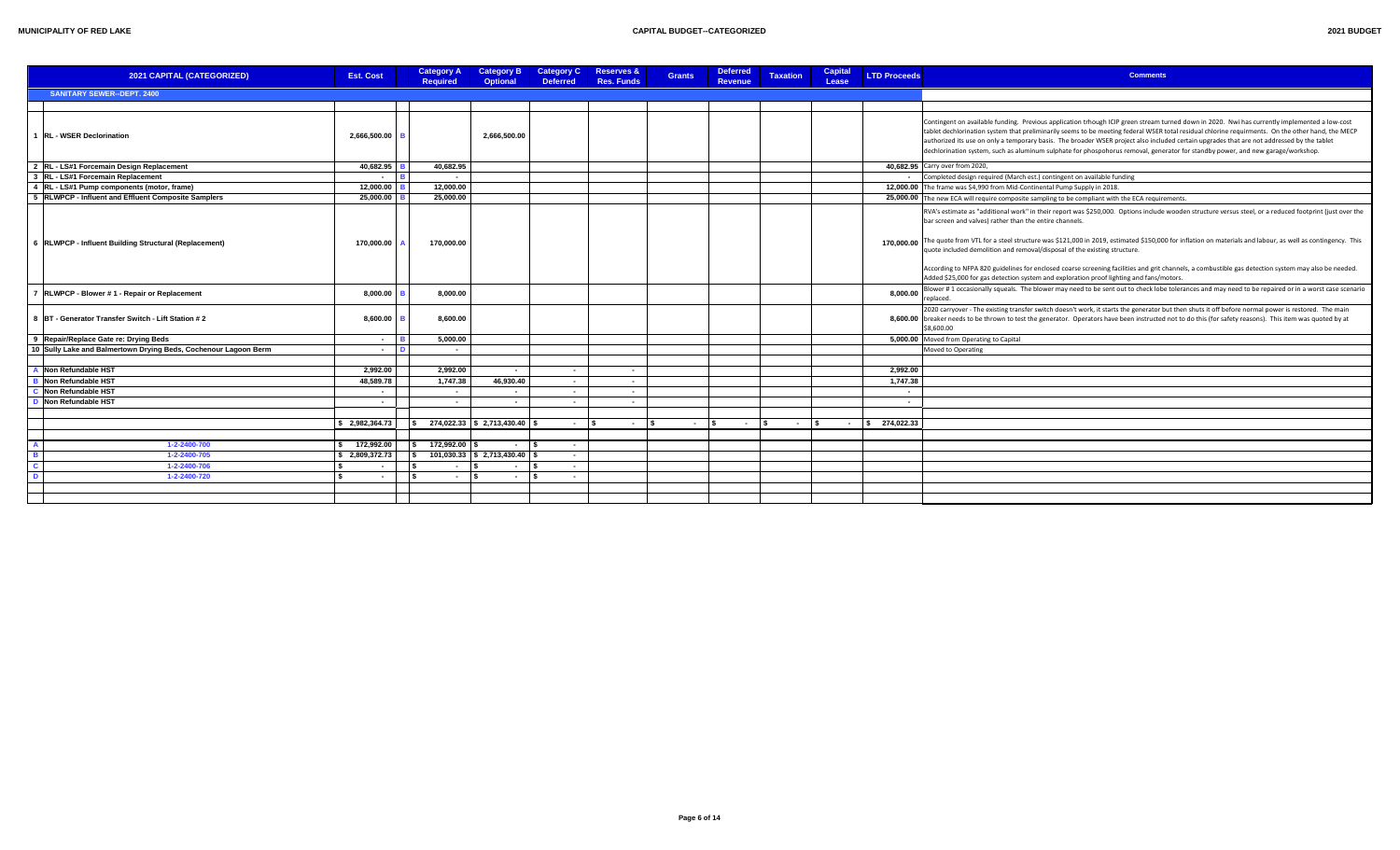| 2021 BUDGET |  |  |
|-------------|--|--|
|-------------|--|--|

| 2021 CAPITAL (CATEGORIZED)                                      | <b>Est. Cost</b>   | <b>Category A</b><br>Required  | <b>Category B</b><br><b>Optional</b> | <b>Category C</b><br><b>Deferred</b> | <b>Reserves &amp;</b><br>Res. Funds       | <b>Grants</b> | <b>Deferred</b><br><b>Revenue</b> | <b>Taxation</b> | Capital<br>Lease | <b>LTD Proceeds</b> | <b>Comments</b>                                                                                                                                                                                                                                                                                                                                                                                                                                                                                                                                                                                                              |
|-----------------------------------------------------------------|--------------------|--------------------------------|--------------------------------------|--------------------------------------|-------------------------------------------|---------------|-----------------------------------|-----------------|------------------|---------------------|------------------------------------------------------------------------------------------------------------------------------------------------------------------------------------------------------------------------------------------------------------------------------------------------------------------------------------------------------------------------------------------------------------------------------------------------------------------------------------------------------------------------------------------------------------------------------------------------------------------------------|
| <b>SANITARY SEWER--DEPT. 2400</b>                               |                    |                                |                                      |                                      |                                           |               |                                   |                 |                  |                     |                                                                                                                                                                                                                                                                                                                                                                                                                                                                                                                                                                                                                              |
|                                                                 |                    |                                |                                      |                                      |                                           |               |                                   |                 |                  |                     |                                                                                                                                                                                                                                                                                                                                                                                                                                                                                                                                                                                                                              |
| <b>RL</b> - WSER Declorination                                  | 2.666.500.00       |                                | 2,666,500.00                         |                                      |                                           |               |                                   |                 |                  |                     | Contingent on available funding. Previous application trhough ICIP green stream turned down in 2020. Nwi has currently implemented a low-cost<br>tablet dechlorination system that preliminarily seems to be meeting federal WSER total residual chlorine requirments. On the other hand, the MECP<br>authorized its use on only a temporary basis. The broader WSER project also included certain upgrades that are not addressed by the tablet<br>dechlorination system, such as aluminum sulphate for phospohorus removal, generator for standby power, and new garage/workshop.                                          |
| 2 RL - LS#1 Forcemain Design Replacement                        | 40.682.95          | 40.682.95                      |                                      |                                      |                                           |               |                                   |                 |                  |                     | 40.682.95 Carry over from 2020                                                                                                                                                                                                                                                                                                                                                                                                                                                                                                                                                                                               |
| 3 RL - LS#1 Forcemain Replacement                               | $\sim$             | $\sim$                         |                                      |                                      |                                           |               |                                   |                 |                  |                     | Completed design required (March est.) contingent on available funding                                                                                                                                                                                                                                                                                                                                                                                                                                                                                                                                                       |
| 4 RL - LS#1 Pump components (motor, frame)                      | 12,000.00          | 12,000.00                      |                                      |                                      |                                           |               |                                   |                 |                  |                     | 12,000.00 The frame was \$4,990 from Mid-Continental Pump Supply in 2018.                                                                                                                                                                                                                                                                                                                                                                                                                                                                                                                                                    |
| 5 RLWPCP - Influent and Effluent Composite Samplers             | 25.000.00          | 25.000.00                      |                                      |                                      |                                           |               |                                   |                 |                  |                     | 25,000.00 The new ECA will require composite sampling to be compliant with the ECA requirements                                                                                                                                                                                                                                                                                                                                                                                                                                                                                                                              |
| 6 RLWPCP - Influent Building Structural (Replacement)           | 170,000.00         | 170.000.00                     |                                      |                                      |                                           |               |                                   |                 |                  |                     | RVA's estimate as "additional work" in their report was \$250,000. Options include wooden structure versus steel, or a reduced footprint (just over the<br>bar screen and valves) rather than the entire channels.<br>170,000.00 The quote from VTL for a steel structure was \$121,000 in 2019, estimated \$150,000 for inflation on materials and labour, as well as contingency. This<br>quote included demolition and removal/disposal of the existing structure.<br>According to NFPA 820 guidelines for enclosed coarse screening facilities and grit channels, a combustible gas detection system may also be needed. |
| RLWPCP - Blower #1 - Repair or Replacement                      | 8,000.00           | 8.000.00                       |                                      |                                      |                                           |               |                                   |                 |                  | 8,000.00            | Added \$25,000 for gas detection system and exploration proof lighting and fans/motors.<br>Blower #1 occasionally squeals. The blower may need to be sent out to check lobe tolerances and may need to be repaired or in a worst case scenario                                                                                                                                                                                                                                                                                                                                                                               |
|                                                                 |                    |                                |                                      |                                      |                                           |               |                                   |                 |                  |                     | replaced.                                                                                                                                                                                                                                                                                                                                                                                                                                                                                                                                                                                                                    |
| 8 BT - Generator Transfer Switch - Lift Station # 2             | 8,600.00           | 8.600.00                       |                                      |                                      |                                           |               |                                   |                 |                  |                     | 2020 carryover - The existing transfer switch doesn't work, it starts the generator but then shuts it off before normal power is restored. The main<br>8,600.00 breaker needs to be thrown to test the generator. Operators have been instructed not to do this (for safety reasons). This item was quoted by at<br>\$8,600.00                                                                                                                                                                                                                                                                                               |
| 9 Repair/Replace Gate re: Drying Beds                           | $\sim$             | 5,000.00                       |                                      |                                      |                                           |               |                                   |                 |                  |                     | 5,000.00 Moved from Operating to Capital                                                                                                                                                                                                                                                                                                                                                                                                                                                                                                                                                                                     |
| 10 Sully Lake and Balmertown Drying Beds, Cochenour Lagoon Berm | <b>D</b><br>$\sim$ | $\sim$                         |                                      |                                      |                                           |               |                                   |                 |                  |                     | Moved to Operating                                                                                                                                                                                                                                                                                                                                                                                                                                                                                                                                                                                                           |
|                                                                 |                    |                                |                                      |                                      |                                           |               |                                   |                 |                  |                     |                                                                                                                                                                                                                                                                                                                                                                                                                                                                                                                                                                                                                              |
| Non Refundable HST                                              | 2,992.00           | 2,992.00                       | $\sim$                               | $\sim$                               | $\sim$                                    |               |                                   |                 |                  | 2,992.00            |                                                                                                                                                                                                                                                                                                                                                                                                                                                                                                                                                                                                                              |
| Non Refundable HST                                              | 48,589.78          | 1,747.38                       | 46,930.40                            | $\sim$                               | $\sim$                                    |               |                                   |                 |                  | 1,747.38            |                                                                                                                                                                                                                                                                                                                                                                                                                                                                                                                                                                                                                              |
| Non Refundable HST                                              | $\sim$             | $\sim$                         | $\sim$                               | $\sim$                               | $\sim$                                    |               |                                   |                 |                  | $\sim$              |                                                                                                                                                                                                                                                                                                                                                                                                                                                                                                                                                                                                                              |
| Non Refundable HST                                              | $\sim$             | $\sim$                         | $\sim$                               | $\sim$                               |                                           |               |                                   |                 |                  | . .                 |                                                                                                                                                                                                                                                                                                                                                                                                                                                                                                                                                                                                                              |
|                                                                 |                    |                                |                                      |                                      |                                           |               |                                   |                 |                  |                     |                                                                                                                                                                                                                                                                                                                                                                                                                                                                                                                                                                                                                              |
|                                                                 | \$2,982,364.73     |                                |                                      | $\sim$                               | $\overline{\phantom{a}}$<br>$\sim$ $\sim$ |               | $ \sqrt{s}$<br>$\sim$             | $ \sim$<br>l s  |                  | $-$ \$ 274.022.33   |                                                                                                                                                                                                                                                                                                                                                                                                                                                                                                                                                                                                                              |
|                                                                 |                    |                                |                                      |                                      |                                           |               |                                   |                 |                  |                     |                                                                                                                                                                                                                                                                                                                                                                                                                                                                                                                                                                                                                              |
| 1-2-2400-700                                                    | \$ 172,992.00      | $\frac{1}{2}$ \$ 172,992.00 \$ | <b>Contract Contract</b>             | $\sim$ $-$                           |                                           |               |                                   |                 |                  |                     |                                                                                                                                                                                                                                                                                                                                                                                                                                                                                                                                                                                                                              |
| 1-2-2400-705                                                    | \$2,809,372.73     | $\overline{\phantom{a}}$       | 101,030.33 \$2,713,430.40            | $\sim$                               |                                           |               |                                   |                 |                  |                     |                                                                                                                                                                                                                                                                                                                                                                                                                                                                                                                                                                                                                              |
| 1-2-2400-706                                                    | $\sim$             | $\sim$                         | $\sim$                               | $\sim$                               |                                           |               |                                   |                 |                  |                     |                                                                                                                                                                                                                                                                                                                                                                                                                                                                                                                                                                                                                              |
| 1-2-2400-720                                                    | $\sim$             | <b>S</b><br>$\sim$             | ls.<br>$\sim$ 100 $\mu$              | $\sim$                               |                                           |               |                                   |                 |                  |                     |                                                                                                                                                                                                                                                                                                                                                                                                                                                                                                                                                                                                                              |
|                                                                 |                    |                                |                                      |                                      |                                           |               |                                   |                 |                  |                     |                                                                                                                                                                                                                                                                                                                                                                                                                                                                                                                                                                                                                              |
|                                                                 |                    |                                |                                      |                                      |                                           |               |                                   |                 |                  |                     |                                                                                                                                                                                                                                                                                                                                                                                                                                                                                                                                                                                                                              |
|                                                                 |                    |                                |                                      |                                      |                                           |               |                                   |                 |                  |                     |                                                                                                                                                                                                                                                                                                                                                                                                                                                                                                                                                                                                                              |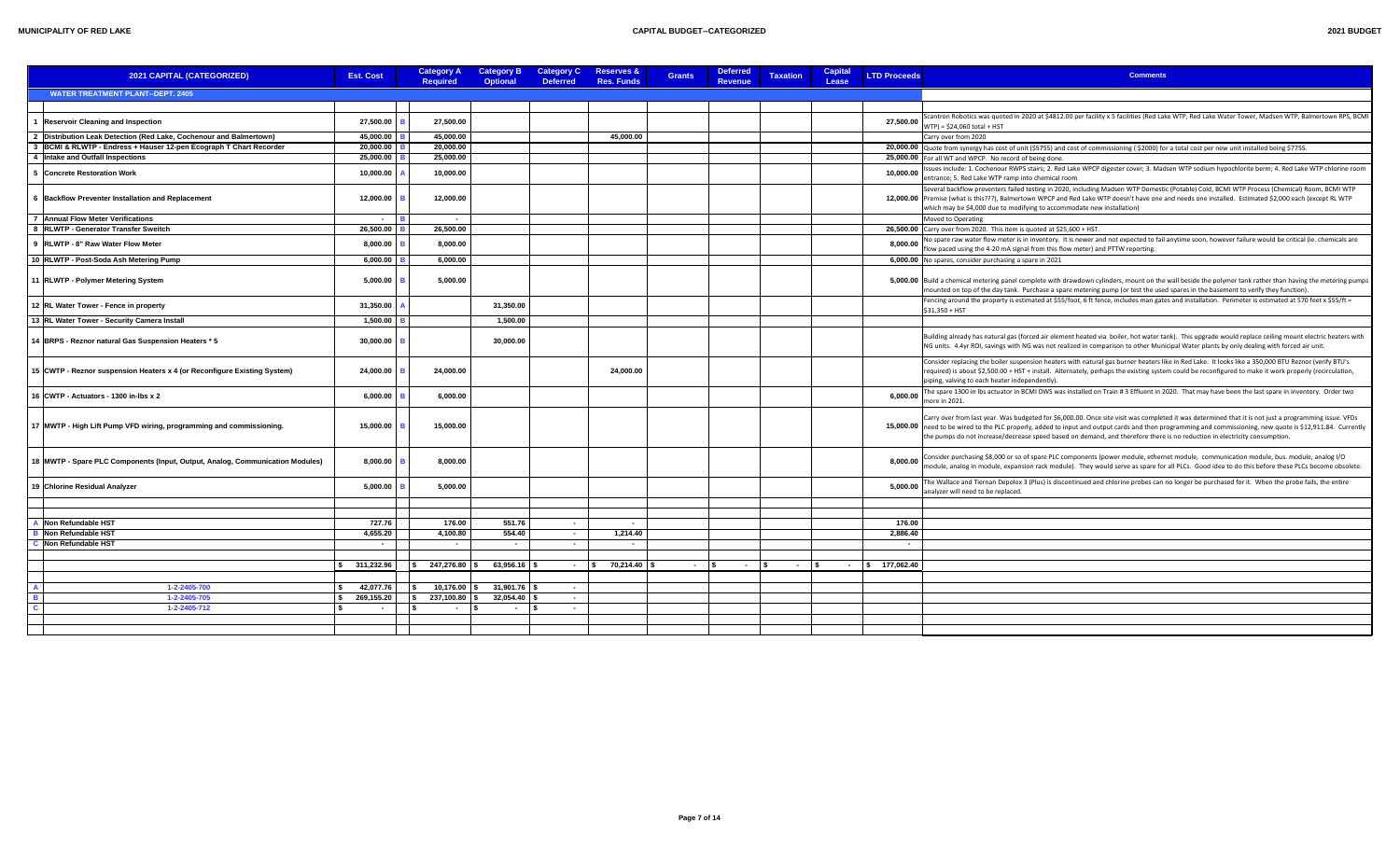| 2021 BUDGET |
|-------------|
|             |

| 2021 CAPITAL (CATEGORIZED)                                                    | <b>Est. Cost</b>         | <b>Category A</b><br><b>Required</b>   | <b>Category B</b><br><b>Optional</b> | <b>Category C</b><br><b>Reserves &amp;</b><br><b>Deferred</b><br><b>Res. Funds</b> | <b>Deferred</b><br><b>Grants</b><br><b>Revenue</b> | <b>Taxation</b> | Capital<br>Lease | <b>LTD Proceeds</b> | <b>Comments</b>                                                                                                                                                                                                                                                                                                                                                                                                                                   |
|-------------------------------------------------------------------------------|--------------------------|----------------------------------------|--------------------------------------|------------------------------------------------------------------------------------|----------------------------------------------------|-----------------|------------------|---------------------|---------------------------------------------------------------------------------------------------------------------------------------------------------------------------------------------------------------------------------------------------------------------------------------------------------------------------------------------------------------------------------------------------------------------------------------------------|
| <b>WATER TREATMENT PLANT--DEPT. 2405</b>                                      |                          |                                        |                                      |                                                                                    |                                                    |                 |                  |                     |                                                                                                                                                                                                                                                                                                                                                                                                                                                   |
|                                                                               |                          |                                        |                                      |                                                                                    |                                                    |                 |                  |                     |                                                                                                                                                                                                                                                                                                                                                                                                                                                   |
| <b>Reservoir Cleaning and Inspection</b>                                      | 27,500.00                | 27.500.00                              |                                      |                                                                                    |                                                    |                 |                  | 27,500.00           | Scantron Robotics was quoted in 2020 at \$4812.00 per facility x 5 facilities (Red Lake WTP, Red Lake Water Tower, Madsen WTP, Balmertown RPS, BCMI<br>WTP) = \$24,060 total + HST                                                                                                                                                                                                                                                                |
| 2 Distribution Leak Detection (Red Lake, Cochenour and Balmertown)            | 45.000.00                | 45.000.00                              |                                      | 45.000.00                                                                          |                                                    |                 |                  |                     | Carry over from 2020                                                                                                                                                                                                                                                                                                                                                                                                                              |
| BCMI & RLWTP - Endress + Hauser 12-pen Ecograph T Chart Recorder              | 20,000.00                | 20,000.00                              |                                      |                                                                                    |                                                    |                 |                  |                     | 20,000.00 Quote from synergy has cost of unit (\$5755) and cost of commissioning (\$2000) for a total cost per new unit installed being \$7755.                                                                                                                                                                                                                                                                                                   |
| 4 Intake and Outfall Inspections                                              | 25,000.00                | 25,000.00                              |                                      |                                                                                    |                                                    |                 |                  |                     | 25,000.00 For all WT and WPCP. No record of being done.                                                                                                                                                                                                                                                                                                                                                                                           |
| <b>Concrete Restoration Work</b>                                              | 10,000.00                | 10,000.00                              |                                      |                                                                                    |                                                    |                 |                  | 10,000.00           | Issues include: 1. Cochenour RWPS stairs; 2. Red Lake WPCP digester cover; 3. Madsen WTP sodium hypochlorite berm; 4. Red Lake WTP chlorine room<br>entrance; 5. Red Lake WTP ramp into chemical room                                                                                                                                                                                                                                             |
| 6 Backflow Preventer Installation and Replacement                             | 12,000.00                | 12,000.00                              |                                      |                                                                                    |                                                    |                 |                  |                     | Several backflow preventers failed testing in 2020, including Madsen WTP Domestic (Potable) Cold, BCMI WTP Process (Chemical) Room, BCMI WTP<br>12,000.00 Premise (what is this???), Balmertown WPCP and Red Lake WTP doesn't have one and needs one installed. Estimated \$2,000 each (except RL WTP<br>which may be \$4,000 due to modifying to accommodate new installation)                                                                   |
| <b>Annual Flow Meter Verifications</b>                                        | $\sim$                   |                                        |                                      |                                                                                    |                                                    |                 |                  |                     | Moved to Operating                                                                                                                                                                                                                                                                                                                                                                                                                                |
| 8 RLWTP - Generator Transfer Sweitch                                          | 26,500.00                | 26,500.00                              |                                      |                                                                                    |                                                    |                 |                  |                     | 26,500.00 Carry over from 2020. This item is quoted at \$25,600 + HST                                                                                                                                                                                                                                                                                                                                                                             |
| <b>RLWTP - 8" Raw Water Flow Meter</b>                                        | 8,000.00                 | 8,000.00                               |                                      |                                                                                    |                                                    |                 |                  | 8,000.00            | No spare raw water flow meter is in inventory. It is newer and not expected to fail anytime soon, however failure would be critical (ie. chemicals are<br>flow paced using the 4-20 mA signal from this flow meter) and PTTW reporting.                                                                                                                                                                                                           |
| 10 RLWTP - Post-Soda Ash Metering Pump                                        | 6,000.00                 | 6,000.00                               |                                      |                                                                                    |                                                    |                 |                  |                     | 6,000.00 No spares, consider purchasing a spare in 2021                                                                                                                                                                                                                                                                                                                                                                                           |
| 11 RLWTP - Polymer Metering System                                            | 5,000.00                 | 5,000.00                               |                                      |                                                                                    |                                                    |                 |                  |                     | 5,000.00 Build a chemical metering panel complete with drawdown cylinders, mount on the wall beside the polymer tank rather than having the metering pumps<br>mounted on top of the day tank. Purchase a spare metering pump (or test the used spares in the basement to verify they function)                                                                                                                                                    |
| 12 RL Water Tower - Fence in property                                         | 31,350.00                |                                        | 31,350.00                            |                                                                                    |                                                    |                 |                  |                     | Fencing around the property is estimated at \$55/foot, 6 ft fence, includes man gates and installation. Perimeter is estimated at 570 feet x \$55/ft =<br>$$31,350 + HST$                                                                                                                                                                                                                                                                         |
| 13 RL Water Tower - Security Camera Install                                   | 1,500.00                 |                                        | 1,500.00                             |                                                                                    |                                                    |                 |                  |                     |                                                                                                                                                                                                                                                                                                                                                                                                                                                   |
| 14 BRPS - Reznor natural Gas Suspension Heaters * 5                           | 30,000.00                |                                        | 30,000.00                            |                                                                                    |                                                    |                 |                  |                     | Building already has natural gas (forced air element heated via boiler, hot water tank). This upgrade would replace ceiling mount electric heaters with<br>NG units. 4.4yr ROI, savings with NG was not realized in comparison to other Municipal Water plants by only dealing with forced air unit.                                                                                                                                              |
| 15 CWTP - Reznor suspension Heaters x 4 (or Reconfigure Existing System)      | 24,000.00                | 24.000.00                              |                                      | 24,000.00                                                                          |                                                    |                 |                  |                     | Consider replacing the boiler suspension heaters with natural gas burner heaters like in Red Lake. It looks like a 350,000 BTU Reznor (verify BTU's<br>required) is about \$2,500.00 + HST + install. Alternately, perhaps the existing system could be reconfigured to make it work properly (recirculation,<br>piping, valving to each heater independently).                                                                                   |
| 16 CWTP - Actuators - 1300 in-lbs x 2                                         | 6,000.00                 | 6,000.00                               |                                      |                                                                                    |                                                    |                 |                  | 6,000.00            | The spare 1300 in lbs actuator in BCMI DWS was installed on Train #3 Effluent in 2020. That may have been the last spare in inventory. Order two<br>more in 2021.                                                                                                                                                                                                                                                                                 |
| 17 MWTP - High Lift Pump VFD wiring, programming and commissioning.           | 15.000.00                | 15.000.00                              |                                      |                                                                                    |                                                    |                 |                  |                     | Carry over from last year. Was budgeted for \$6,000.00. Once site visit was completed it was determined that it is not just a programming issue. VFDs<br>15,000.00 need to be wired to the PLC properly, added to input and output cards and then programming and commissioning, new quote is \$12,911.84. Currently<br>the pumps do not increase/decrease speed based on demand, and therefore there is no reduction in electricity consumption. |
| 18 MWTP - Spare PLC Components (Input, Output, Analog, Communication Modules) | 8,000.00                 | 8,000.00                               |                                      |                                                                                    |                                                    |                 |                  | 8,000.00            | Consider purchasing \$8,000 or so of spare PLC components (power module, ethernet module, communication module, bus. module, analog I/O<br>nodule, analog in module, expansion rack module). They would serve as spare for all PLCs. Good idea to do this before these PLCs become obsolete.                                                                                                                                                      |
| 19 Chlorine Residual Analyzer                                                 | 5,000.00                 | 5,000.00                               |                                      |                                                                                    |                                                    |                 |                  | 5,000.00            | The Wallace and Tiernan Depolox 3 (Plus) is discontinued and chlorine probes can no longer be purchased for it. When the probe fails, the entire<br>analyzer will need to be replaced.                                                                                                                                                                                                                                                            |
|                                                                               |                          |                                        |                                      |                                                                                    |                                                    |                 |                  |                     |                                                                                                                                                                                                                                                                                                                                                                                                                                                   |
|                                                                               |                          |                                        |                                      |                                                                                    |                                                    |                 |                  |                     |                                                                                                                                                                                                                                                                                                                                                                                                                                                   |
| Non Refundable HST                                                            | 727.76                   | 176.00                                 | 551.76                               | $\sim$                                                                             |                                                    |                 |                  | 176.00              |                                                                                                                                                                                                                                                                                                                                                                                                                                                   |
| Non Refundable HST                                                            | 4.655.20                 | 4.100.80                               | 554.40                               | 1,214.40<br>$\sim$ $-$                                                             |                                                    |                 |                  | 2.886.40            |                                                                                                                                                                                                                                                                                                                                                                                                                                                   |
| Non Refundable HST                                                            | $\sim$                   | $\sim$                                 | $\sim$ 100 $\mu$                     | $\sim$<br>$\sim$                                                                   |                                                    |                 |                  | $\sim$              |                                                                                                                                                                                                                                                                                                                                                                                                                                                   |
|                                                                               |                          |                                        |                                      |                                                                                    |                                                    |                 |                  |                     |                                                                                                                                                                                                                                                                                                                                                                                                                                                   |
|                                                                               | 311,232.96               | 247,276.80                             | 63,956.16 \$                         | 70,214.40<br>$\mathbf{s}$<br>$\sim$                                                | $\overline{\phantom{a}}$<br>$\sim$                 | $-$ Is          | $\sim$           | \$177,062.40        |                                                                                                                                                                                                                                                                                                                                                                                                                                                   |
|                                                                               |                          |                                        |                                      |                                                                                    |                                                    |                 |                  |                     |                                                                                                                                                                                                                                                                                                                                                                                                                                                   |
| 1-2-2405-700                                                                  | 42,077.76                | 10,176.00                              | 31,901.76 \$                         | $\sim$                                                                             |                                                    |                 |                  |                     |                                                                                                                                                                                                                                                                                                                                                                                                                                                   |
| 1-2-2405-705                                                                  | 269,155.20<br>$\sim$ $-$ | 237,100.80<br>l S<br>l s<br>$\sim$ $-$ | 32,054.40 \$<br>∣\$.                 | $\sim$                                                                             |                                                    |                 |                  |                     |                                                                                                                                                                                                                                                                                                                                                                                                                                                   |
| 1-2-2405-712                                                                  |                          |                                        | $ \sqrt{s}$                          | $\sim$                                                                             |                                                    |                 |                  |                     |                                                                                                                                                                                                                                                                                                                                                                                                                                                   |
|                                                                               |                          |                                        |                                      |                                                                                    |                                                    |                 |                  |                     |                                                                                                                                                                                                                                                                                                                                                                                                                                                   |
|                                                                               |                          |                                        |                                      |                                                                                    |                                                    |                 |                  |                     |                                                                                                                                                                                                                                                                                                                                                                                                                                                   |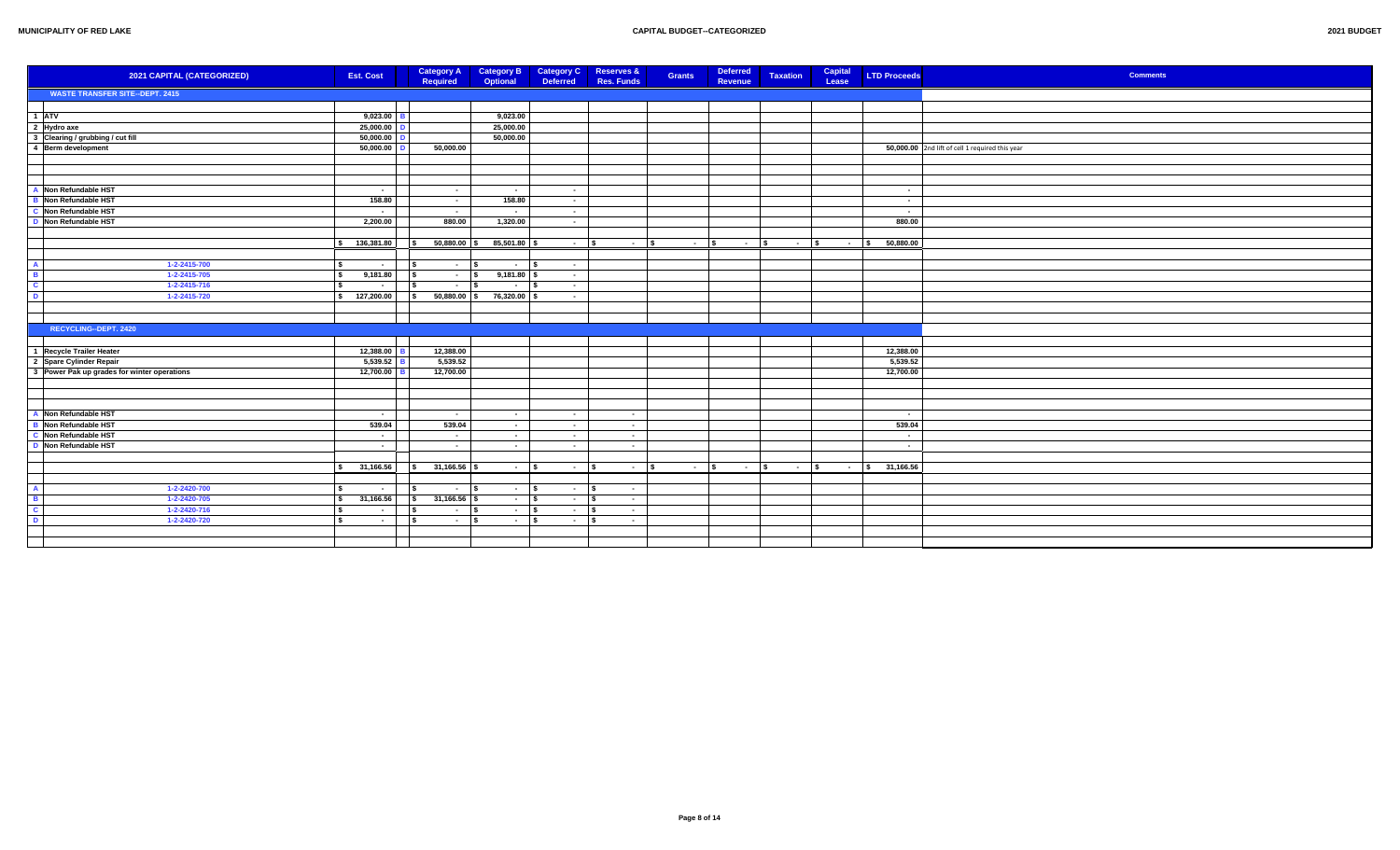| 2021 BUDGET |
|-------------|
|             |

| 2021 CAPITAL (CATEGORIZED)<br><b>Est. Cost</b>                               | <b>Category A</b><br>Required              | <b>Category B</b><br>Optional | <b>Category C</b><br>Deferred    | <b>Reserves &amp;</b><br>Res. Funds | Grants      | <b>Deferred</b><br>Revenue | <b>Taxation</b> | Capital<br>Lease | <b>LTD Proceeds</b>   | <b>Comments</b>                                 |
|------------------------------------------------------------------------------|--------------------------------------------|-------------------------------|----------------------------------|-------------------------------------|-------------|----------------------------|-----------------|------------------|-----------------------|-------------------------------------------------|
| <b>WASTE TRANSFER SITE--DEPT. 2415</b>                                       |                                            |                               |                                  |                                     |             |                            |                 |                  |                       |                                                 |
|                                                                              |                                            |                               |                                  |                                     |             |                            |                 |                  |                       |                                                 |
| $1$ $ATV$<br>9,023.00                                                        |                                            | 9,023.00                      |                                  |                                     |             |                            |                 |                  |                       |                                                 |
| 2 Hydro axe<br>25,000.00                                                     |                                            | 25,000.00                     |                                  |                                     |             |                            |                 |                  |                       |                                                 |
| 3 Clearing / grubbing / cut fill<br>50,000.00                                |                                            | 50,000.00                     |                                  |                                     |             |                            |                 |                  |                       |                                                 |
| 4 Berm development<br>50,000.00                                              | 50,000.00                                  |                               |                                  |                                     |             |                            |                 |                  |                       | 50,000.00 2nd lift of cell 1 required this year |
|                                                                              |                                            |                               |                                  |                                     |             |                            |                 |                  |                       |                                                 |
|                                                                              |                                            |                               |                                  |                                     |             |                            |                 |                  |                       |                                                 |
| A Non Refundable HST<br>$\sim$                                               | $\sim$                                     | $\sim$                        | $\sim$                           |                                     |             |                            |                 |                  | $\sim$                |                                                 |
| <b>B</b> Non Refundable HST<br>158.80                                        | $\sim$                                     | 158.80                        | $\sim 100$                       |                                     |             |                            |                 |                  | $\sim$                |                                                 |
| C Non Refundable HST<br>$\sim$                                               | $\sim$                                     | $\sim$                        | $\sim$ $-$                       |                                     |             |                            |                 |                  | $\sim$                |                                                 |
| <b>D</b> Non Refundable HST<br>2,200.00                                      | 880.00                                     | 1,320.00                      | $\sim$                           |                                     |             |                            |                 |                  | 880.00                |                                                 |
|                                                                              |                                            |                               |                                  |                                     |             |                            |                 |                  |                       |                                                 |
| \$ 136,381.80                                                                | 50,880.00 \$<br>$\overline{\mathbf{s}}$    | 85,501.80 \$                  | $ s$                             | $ \sqrt{s}$                         | $ \sqrt{2}$ | $ \sqrt{s}$                | $ \sqrt{S}$     |                  | $-$ \$ 50,880.00      |                                                 |
|                                                                              |                                            |                               |                                  |                                     |             |                            |                 |                  |                       |                                                 |
| 1-2-2415-700<br>$\Delta$<br>$\sim$                                           | $\sqrt{ }$                                 | - IS<br>$ \sqrt{5}$           | $\sim$ $-$                       |                                     |             |                            |                 |                  |                       |                                                 |
| $\overline{\mathbf{R}}$<br>1-2-2415-705<br>9,181.80<br>l S                   | $\sqrt{2}$                                 | $9,181.80$ \$<br>$ \sqrt{5}$  | $\sim$                           |                                     |             |                            |                 |                  |                       |                                                 |
| $\mathbf{C}$<br>1-2-2415-716<br>l S<br>$\sim$                                | $\sqrt{2}$<br>$ \sqrt{5}$                  | $ \sqrt{2}$                   | $\sim 10^{-1}$                   |                                     |             |                            |                 |                  |                       |                                                 |
| $\overline{D}$<br>1-2-2415-720<br>127,200.00<br>$\mathbf{s}$                 | $50,880.00$ \$<br>$\overline{\phantom{a}}$ | 76,320.00 \$                  | $\sim$ $-$                       |                                     |             |                            |                 |                  |                       |                                                 |
|                                                                              |                                            |                               |                                  |                                     |             |                            |                 |                  |                       |                                                 |
| RECYCLING--DEPT. 2420                                                        |                                            |                               |                                  |                                     |             |                            |                 |                  |                       |                                                 |
|                                                                              |                                            |                               |                                  |                                     |             |                            |                 |                  |                       |                                                 |
|                                                                              |                                            |                               |                                  |                                     |             |                            |                 |                  |                       |                                                 |
| 1 Recycle Trailer Heater<br>12,388.00<br>2 Spare Cylinder Repair<br>5,539.52 | 12,388.00<br>5,539.52                      |                               |                                  |                                     |             |                            |                 |                  | 12,388.00<br>5,539.52 |                                                 |
| 3 Power Pak up grades for winter operations<br>12,700.00                     | 12,700.00                                  |                               |                                  |                                     |             |                            |                 |                  | 12,700.00             |                                                 |
|                                                                              |                                            |                               |                                  |                                     |             |                            |                 |                  |                       |                                                 |
|                                                                              |                                            |                               |                                  |                                     |             |                            |                 |                  |                       |                                                 |
|                                                                              |                                            |                               |                                  |                                     |             |                            |                 |                  |                       |                                                 |
| A Non Refundable HST<br>$\sim$                                               | $\sim$ $-$                                 | $\sim$ $-$                    | $\sim$                           | $\sim$                              |             |                            |                 |                  | $\sim$                |                                                 |
| <b>B</b> Non Refundable HST<br>539.04                                        | 539.04                                     | $\sim$ $-$                    | $\sim 10^{-1}$                   | $\sim$                              |             |                            |                 |                  | 539.04                |                                                 |
| C Non Refundable HST<br>$\sim$                                               | $\sim$                                     | $\sim$ $-$                    | $\sim$ $-$                       | $\sim$                              |             |                            |                 |                  | $\sim$                |                                                 |
| <b>D</b> Non Refundable HST<br>$\sim$                                        | $\sim$ $-$                                 | $\sim$                        | $\sim$ $-$                       | $\sim$                              |             |                            |                 |                  | $\sim$                |                                                 |
|                                                                              |                                            |                               |                                  |                                     |             |                            |                 |                  |                       |                                                 |
| $\frac{1}{5}$ 31,166.56                                                      | $\frac{1}{2}$ \$ 31,166.56 \$              | $ \sqrt{s}$                   | $ \vert$ s                       | $ \sqrt{s}$                         | $ \vert$ s  | $ s$                       | $ s$            |                  | $-$ \$ 31,166.56      |                                                 |
|                                                                              |                                            |                               |                                  |                                     |             |                            |                 |                  |                       |                                                 |
| 1-2-2420-700<br>$\Delta$<br>$\overline{\phantom{a}}$<br>$\overline{B}$       | $\sqrt{ }$                                 | $\sim$ $\sim$<br>- IS         | $\sim 10^{-11}$                  | $\sim$ $-$                          |             |                            |                 |                  |                       |                                                 |
| 1-2-2420-705<br>31,166.56<br>$\mathbf{s}$<br>1-2-2420-716                    | $31,166.56$ \$<br>$\sim$                   | $-$ \$                        | $ \sqrt{2}$                      | $\sim$                              |             |                            |                 |                  |                       |                                                 |
| $\sim$<br>1-2-2420-720<br>D<br>ls.<br>$\sim 100$                             | $\sqrt{2}$<br>- IS<br>$\sqrt{2}$           | $ \sqrt{s}$<br>$-$ \$<br>$ s$ | <b>Contract</b><br>$\sim$ $\sim$ | $\sim$<br>$\sim$ 100 $\mu$          |             |                            |                 |                  |                       |                                                 |
|                                                                              |                                            |                               |                                  |                                     |             |                            |                 |                  |                       |                                                 |
|                                                                              |                                            |                               |                                  |                                     |             |                            |                 |                  |                       |                                                 |
|                                                                              |                                            |                               |                                  |                                     |             |                            |                 |                  |                       |                                                 |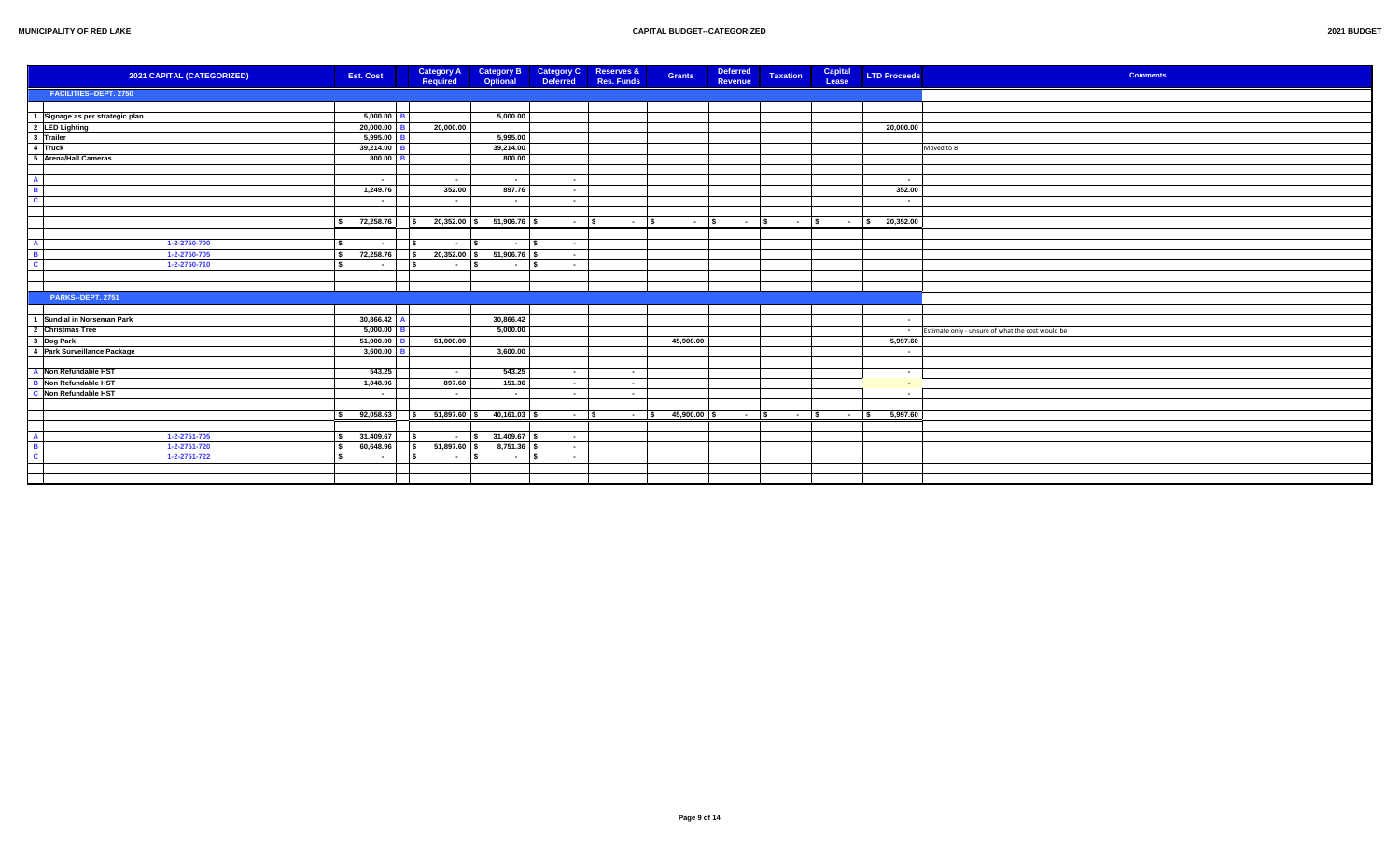| <b>2021 BUDGET</b> |  |  |
|--------------------|--|--|
|                    |  |  |

| 2021 CAPITAL (CATEGORIZED)                                                                        | <b>Est. Cost</b> | <b>Category A</b><br>Required           | <b>Category B</b><br>Optional |             | Category C Reserves &<br>Deferred Res. Funds | <b>Grants</b>                                                                                | <b>Deferred</b><br>Revenue | <b>Taxation</b>                    | Capital<br>Lease     | <b>LTD Proceeds</b>      | <b>Comments</b>                                    |
|---------------------------------------------------------------------------------------------------|------------------|-----------------------------------------|-------------------------------|-------------|----------------------------------------------|----------------------------------------------------------------------------------------------|----------------------------|------------------------------------|----------------------|--------------------------|----------------------------------------------------|
| FACILITIES--DEPT. 2750                                                                            |                  |                                         |                               |             |                                              |                                                                                              |                            |                                    |                      |                          |                                                    |
|                                                                                                   | 5,000.00         |                                         | 5,000.00                      |             |                                              |                                                                                              |                            |                                    |                      |                          |                                                    |
|                                                                                                   | 20,000.00        | 20,000.00                               |                               |             |                                              |                                                                                              |                            |                                    |                      | 20,000.00                |                                                    |
|                                                                                                   | 5,995.00         |                                         | 5,995.00                      |             |                                              |                                                                                              |                            |                                    |                      |                          |                                                    |
| 1 Signage as per strategic plan<br>2 LED Lighting<br>3 Trailer<br>4 Truck<br>5 Arena/Hall Cameras | 39,214.00        |                                         | 39,214.00                     |             |                                              |                                                                                              |                            |                                    |                      |                          | Moved to B                                         |
|                                                                                                   | 800.00           |                                         | 800.00                        |             |                                              |                                                                                              |                            |                                    |                      |                          |                                                    |
|                                                                                                   |                  |                                         |                               |             |                                              |                                                                                              |                            |                                    |                      |                          |                                                    |
|                                                                                                   | $\sim$           | $\sim$                                  | $\sim$                        | $\sim$ $-$  |                                              |                                                                                              |                            |                                    |                      | $\sim$                   |                                                    |
| $\frac{A}{B}$                                                                                     | 1,249.76         | 352.00                                  | 897.76                        | $\sim 100$  |                                              |                                                                                              |                            |                                    |                      | 352.00                   |                                                    |
| $\overline{c}$                                                                                    | $\sim$           | $\overline{\phantom{a}}$                | $\sim$                        | $\sim$      |                                              |                                                                                              |                            |                                    |                      | $\sim$                   |                                                    |
|                                                                                                   |                  |                                         |                               |             |                                              |                                                                                              |                            |                                    |                      |                          |                                                    |
|                                                                                                   | 72,258.76        | 20,352.00 \$<br>l s                     | $51,906.76$ \$                | $ \sqrt{s}$ | $ \sqrt{5}$                                  | $ \vert$ s                                                                                   | $ s$                       | $ s$                               | $ \sqrt{5}$          | 20,352.00                |                                                    |
|                                                                                                   |                  |                                         |                               |             |                                              |                                                                                              |                            |                                    |                      |                          |                                                    |
| $\overline{A}$<br>1-2-2750-700                                                                    | $\sim$           | l S<br>$-1$ s                           | l s<br>$\sim$ $-$             | $\sim 100$  |                                              |                                                                                              |                            |                                    |                      |                          |                                                    |
| 1-2-2750-705                                                                                      | 72,258.76        | $\sqrt{S}$                              | 20,352.00 \$ 51,906.76 \$     | $\sim 100$  |                                              |                                                                                              |                            |                                    |                      |                          |                                                    |
| $\overline{c}$<br>1-2-2750-710                                                                    | $\sim$           | $\overline{\phantom{a}}$<br>$\sim$      | IS.<br>$\sim$                 | $\sim$      |                                              |                                                                                              |                            |                                    |                      |                          |                                                    |
| $\sim$                                                                                            |                  |                                         |                               |             |                                              |                                                                                              |                            |                                    |                      |                          |                                                    |
|                                                                                                   |                  |                                         |                               |             |                                              |                                                                                              |                            |                                    |                      |                          |                                                    |
| <b>PARKS--DEPT. 2751</b>                                                                          |                  |                                         |                               |             |                                              |                                                                                              |                            |                                    |                      |                          |                                                    |
|                                                                                                   |                  |                                         |                               |             |                                              |                                                                                              |                            |                                    |                      |                          |                                                    |
| 1 Sundial in Norseman Park                                                                        | 30,866.42        |                                         | 30,866.42                     |             |                                              |                                                                                              |                            |                                    |                      | $\sim$                   |                                                    |
| 2 Christmas Tree                                                                                  | 5,000.00         |                                         | 5,000.00                      |             |                                              |                                                                                              |                            |                                    |                      |                          | - Estimate only - unsure of what the cost would be |
| 3 Dog Park<br>4 Park Surveillance Package                                                         | 51,000.00        | 51,000.00                               |                               |             |                                              | 45,900.00                                                                                    |                            |                                    |                      | 5,997.60                 |                                                    |
|                                                                                                   | $3,600.00$ E     |                                         | 3,600.00                      |             |                                              |                                                                                              |                            |                                    |                      | $\overline{\phantom{a}}$ |                                                    |
|                                                                                                   |                  |                                         |                               |             |                                              |                                                                                              |                            |                                    |                      |                          |                                                    |
| A Non Refundable HST                                                                              | 543.25           | $\sim$ 100 $\pm$                        | 543.25                        | $\sim$ $-$  | $\sim$ $-$                                   |                                                                                              |                            |                                    |                      | $\overline{\phantom{a}}$ |                                                    |
| <b>B</b> Non Refundable HST                                                                       | 1,048.96         | 897.60                                  | 151.36                        | $\sim$ $-$  | $\sim$ $-$                                   |                                                                                              |                            |                                    |                      | <b>Section</b>           |                                                    |
| C Non Refundable HST                                                                              | $\sim$           | $\sim$                                  | $\sim$                        | $\sim$      | $\sim$                                       |                                                                                              |                            |                                    |                      |                          |                                                    |
|                                                                                                   |                  |                                         |                               |             |                                              |                                                                                              |                            |                                    |                      |                          |                                                    |
|                                                                                                   | 92,058.63        | $\frac{1}{5}$ 51,897.60 \$ 40,161.03 \$ |                               | $ s$        |                                              | $\begin{array}{ c c c c c c c c } \hline \text{S} & \text{45,900.00} & \text{S} \end{array}$ |                            | $\sim$ $\sim$ $\sim$ $\sim$ $\sim$ | $\sim$ $\sim$ $\sim$ | 5,997.60                 |                                                    |
| $\overline{A}$                                                                                    |                  |                                         |                               |             |                                              |                                                                                              |                            |                                    |                      |                          |                                                    |
| 1-2-2751-705                                                                                      | 31,409.67        | $\mathbf{s}$<br>$ \sqrt{2}$             | $31,409.67$ \$                | $\sim$ $-$  |                                              |                                                                                              |                            |                                    |                      |                          |                                                    |
| 1-2-2751-720<br>$\mathbf{c}$                                                                      | 60,648.96        | $51,897.60$ \$<br>$\sqrt{2}$            | $8,751.36$ \$                 | $\sim 100$  |                                              |                                                                                              |                            |                                    |                      |                          |                                                    |
| 1-2-2751-722                                                                                      | $\sim$           | $\sim$<br>$-1$ s                        | $-$ \$                        | $\sim$ $-$  |                                              |                                                                                              |                            |                                    |                      |                          |                                                    |
|                                                                                                   |                  |                                         |                               |             |                                              |                                                                                              |                            |                                    |                      |                          |                                                    |
|                                                                                                   |                  |                                         |                               |             |                                              |                                                                                              |                            |                                    |                      |                          |                                                    |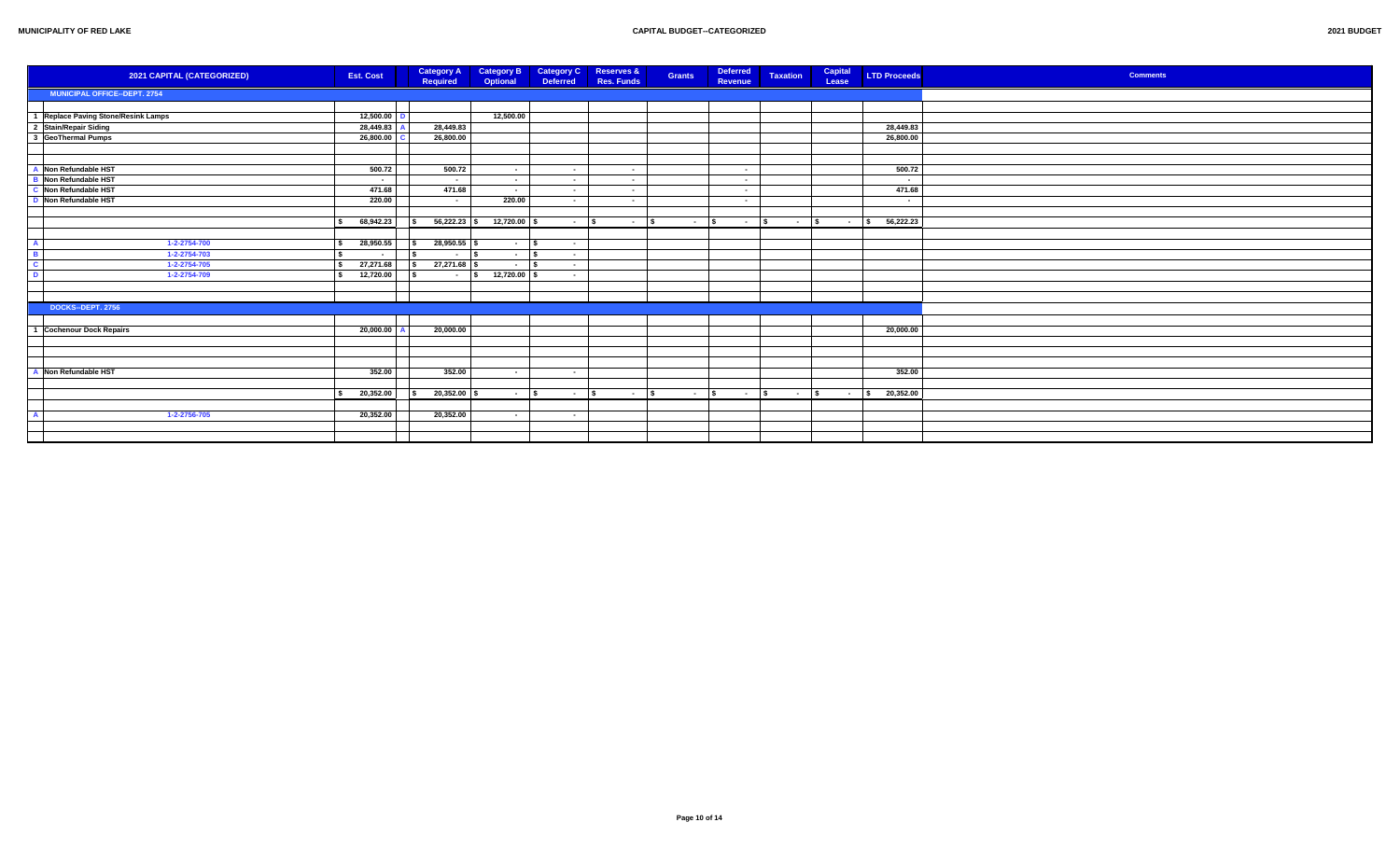|                                     | 2021 CAPITAL (CATEGORIZED) | <b>Est. Cost</b> | <b>Category A</b><br>Required | Category B<br>Optional      | Category C<br><b>Deferred</b> | <b>Reserves &amp;</b><br>Res. Funds | <b>Grants</b> | <b>Deferred</b><br>Revenue | <b>Taxation</b>      | Capital<br>Lease                                                           | <b>LTD Proceeds</b>      | <b>Comments</b> |
|-------------------------------------|----------------------------|------------------|-------------------------------|-----------------------------|-------------------------------|-------------------------------------|---------------|----------------------------|----------------------|----------------------------------------------------------------------------|--------------------------|-----------------|
| MUNICIPAL OFFICE--DEPT. 2754        |                            |                  |                               |                             |                               |                                     |               |                            |                      |                                                                            |                          |                 |
|                                     |                            |                  |                               |                             |                               |                                     |               |                            |                      |                                                                            |                          |                 |
| 1 Replace Paving Stone/Resink Lamps |                            | 12,500.00        |                               | 12,500.00                   |                               |                                     |               |                            |                      |                                                                            |                          |                 |
| 2 Stain/Repair Siding               |                            | 28,449.83        | 28,449.83                     |                             |                               |                                     |               |                            |                      |                                                                            | 28,449.83                |                 |
| 3 GeoThermal Pumps                  |                            | 26,800.00        | 26,800.00                     |                             |                               |                                     |               |                            |                      |                                                                            | 26,800.00                |                 |
|                                     |                            |                  |                               |                             |                               |                                     |               |                            |                      |                                                                            |                          |                 |
| A Non Refundable HST                |                            | 500.72           | 500.72                        | $\sim$                      |                               | $\sim$                              |               |                            |                      |                                                                            | 500.72                   |                 |
| <b>B</b> Non Refundable HST         |                            | $\sim$           |                               |                             | $\sim$                        | $\sim$ $-$                          |               | $\sim$                     |                      |                                                                            | $\sim$                   |                 |
| <b>C</b> Non Refundable HST         |                            | 471.68           | $\sim$<br>471.68              | $\sim$<br>$\sim$ $-$        | $\sim$<br>$\sim$ $-$          | $\sim$ $-$                          |               | $\sim$ $-$<br>$\sim$ $-$   |                      |                                                                            | 471.68                   |                 |
| D Non Refundable HST                |                            | 220.00           | $\sim$                        | 220.00                      | $\sim$                        | $\sim$                              |               | $\sim$                     |                      |                                                                            | $\sim$                   |                 |
|                                     |                            |                  |                               |                             |                               |                                     |               |                            |                      |                                                                            |                          |                 |
|                                     |                            | 68,942.23        |                               | $56,222.23$ \$ 12,720.00 \$ | - Is                          | $ s$                                |               | $-$ \$<br>$ \sqrt{5}$      |                      | $ \begin{array}{ccc} - & \end{array}$ $\begin{array}{ccc} - & \end{array}$ | 56,222.23                |                 |
|                                     |                            |                  |                               |                             |                               |                                     |               |                            |                      |                                                                            |                          |                 |
|                                     | 1-2-2754-700               | 28,950.55        | 28,950.55 \$                  | $ \sqrt{s}$                 | $\sim$                        |                                     |               |                            |                      |                                                                            |                          |                 |
|                                     | 1-2-2754-703               |                  | $ \sqrt{2}$                   | $ \sqrt{s}$                 | $\sim$                        |                                     |               |                            |                      |                                                                            |                          |                 |
|                                     | 1-2-2754-705               | 27,271.68        | 27,271.68 \$<br>l S           | $ \sqrt{s}$                 | $\sim 100$                    |                                     |               |                            |                      |                                                                            |                          |                 |
|                                     | 1-2-2754-709               | 12,720.00        | $ \vert$ s                    | $12,720.00$ \$              | $\sim$ $-$                    |                                     |               |                            |                      |                                                                            |                          |                 |
|                                     |                            |                  |                               |                             |                               |                                     |               |                            |                      |                                                                            |                          |                 |
|                                     |                            |                  |                               |                             |                               |                                     |               |                            |                      |                                                                            |                          |                 |
| DOCKS--DEPT. 2756                   |                            |                  |                               |                             |                               |                                     |               |                            |                      |                                                                            |                          |                 |
|                                     |                            |                  |                               |                             |                               |                                     |               |                            |                      |                                                                            |                          |                 |
| 1 Cochenour Dock Repairs            |                            | 20,000.00        | 20,000.00                     |                             |                               |                                     |               |                            |                      |                                                                            | 20,000.00                |                 |
|                                     |                            |                  |                               |                             |                               |                                     |               |                            |                      |                                                                            |                          |                 |
|                                     |                            |                  |                               |                             |                               |                                     |               |                            |                      |                                                                            |                          |                 |
|                                     |                            |                  |                               |                             |                               |                                     |               |                            |                      |                                                                            |                          |                 |
| A Non Refundable HST                |                            | 352.00           | 352.00                        | $\sim$                      | $\sim$                        |                                     |               |                            |                      |                                                                            | 352.00                   |                 |
|                                     |                            |                  |                               |                             |                               |                                     |               |                            |                      |                                                                            |                          |                 |
|                                     |                            | 20,352.00        | $20,352.00$ \$<br>ا خ         | $ s$                        | $\sim$ $\sim$                 | $ s$                                |               | $-$ s<br>$ s$              | $\sim$ $\sim$ $\sim$ |                                                                            | 20,352.00<br>$ \sqrt{s}$ |                 |
|                                     |                            |                  |                               |                             |                               |                                     |               |                            |                      |                                                                            |                          |                 |
|                                     | 1-2-2756-705               | 20,352.00        | 20,352.00                     | $\sim$                      | $\sim$                        |                                     |               |                            |                      |                                                                            |                          |                 |
|                                     |                            |                  |                               |                             |                               |                                     |               |                            |                      |                                                                            |                          |                 |
|                                     |                            |                  |                               |                             |                               |                                     |               |                            |                      |                                                                            |                          |                 |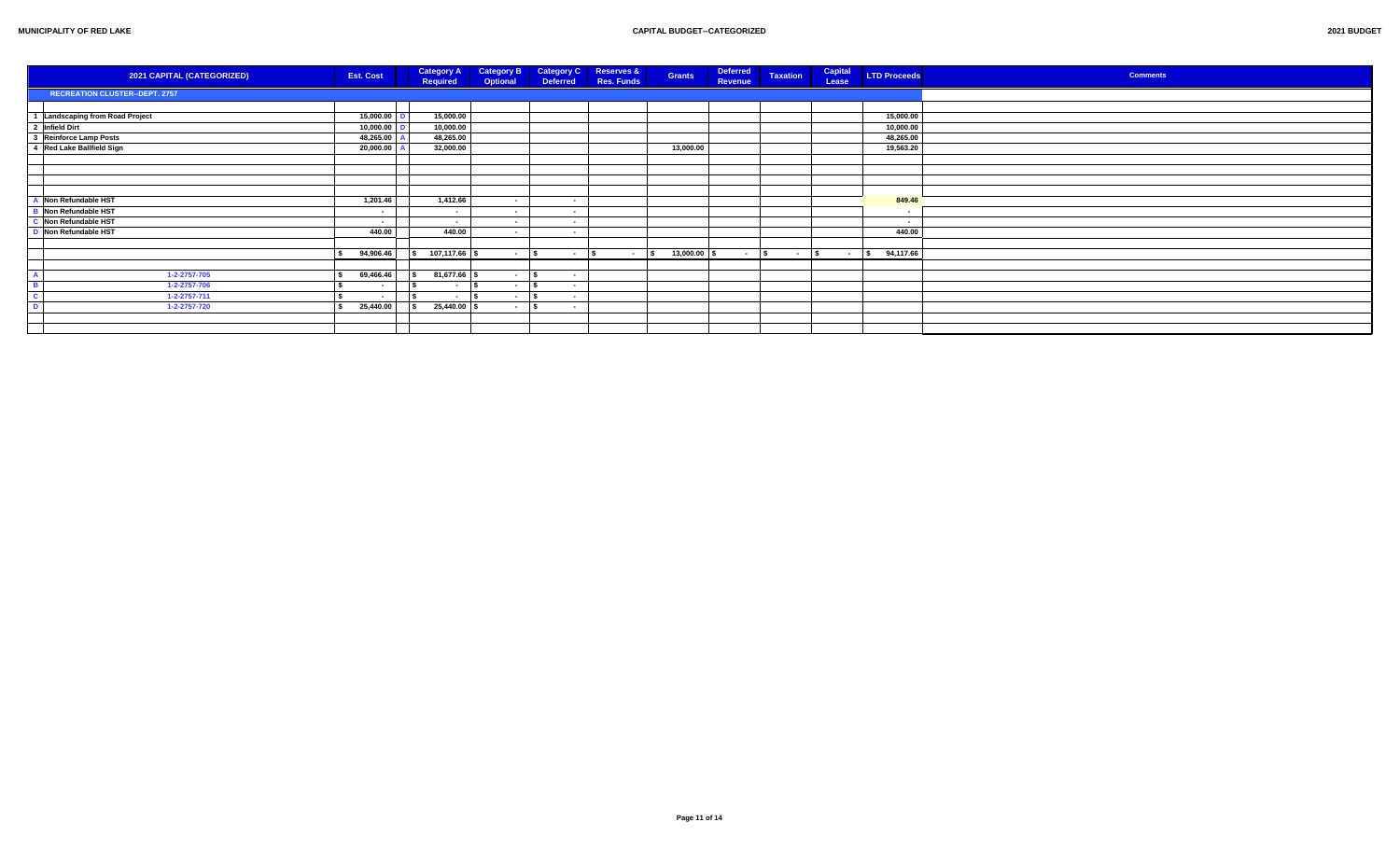| 2021 CAPITAL (CATEGORIZED)                                                  | <b>Est. Cost</b>         | <b>Category A</b><br>Required | <b>Category B</b><br>Optional | <b>Category C</b><br>Deferred | <b>Reserves &amp;</b><br>Res. Funds | Grants         | <b>Deferred</b><br>Revenue | <b>Taxation</b>                           | Capital<br>Lease | <b>LTD Proceeds</b> | <b>Comments</b> |
|-----------------------------------------------------------------------------|--------------------------|-------------------------------|-------------------------------|-------------------------------|-------------------------------------|----------------|----------------------------|-------------------------------------------|------------------|---------------------|-----------------|
| <b>RECREATION CLUSTER--DEPT. 2757</b>                                       |                          |                               |                               |                               |                                     |                |                            |                                           |                  |                     |                 |
|                                                                             |                          |                               |                               |                               |                                     |                |                            |                                           |                  |                     |                 |
| 1 Landscaping from Road Project<br>2 Infield Dirt<br>3 Reinforce Lamp Posts | 15,000.00                | 15,000.00                     |                               |                               |                                     |                |                            |                                           |                  | 15,000.00           |                 |
|                                                                             | 10,000.00                | 10,000.00                     |                               |                               |                                     |                |                            |                                           |                  | 10,000.00           |                 |
|                                                                             | 48,265.00                | 48,265.00                     |                               |                               |                                     |                |                            |                                           |                  | 48,265.00           |                 |
| 4 Red Lake Ballfield Sign                                                   | 20,000.00                | 32,000.00                     |                               |                               |                                     | 13,000.00      |                            |                                           |                  | 19,563.20           |                 |
|                                                                             |                          |                               |                               |                               |                                     |                |                            |                                           |                  |                     |                 |
|                                                                             |                          |                               |                               |                               |                                     |                |                            |                                           |                  |                     |                 |
|                                                                             |                          |                               |                               |                               |                                     |                |                            |                                           |                  |                     |                 |
|                                                                             |                          |                               |                               |                               |                                     |                |                            |                                           |                  |                     |                 |
| A Non Refundable HST                                                        | 1,201.46                 | 1,412.66                      | $\sim$                        | $\sim$                        |                                     |                |                            |                                           |                  | 849.46              |                 |
| <b>B</b> Non Refundable HST                                                 | . .                      | $\sim$                        | $\sim$                        | $\sim$                        |                                     |                |                            |                                           |                  | . .                 |                 |
| C Non Refundable HST                                                        | $\sim$                   | $\sim$                        | $\sim$                        | $\sim$                        |                                     |                |                            |                                           |                  | $\sim$              |                 |
| <b>D</b> Non Refundable HST                                                 | 440.00                   | 440.00                        | $\sim$                        | $\sim$                        |                                     |                |                            |                                           |                  | 440.00              |                 |
|                                                                             |                          |                               |                               |                               |                                     |                |                            |                                           |                  |                     |                 |
|                                                                             | 94,906.46                | $$ 107,117.66$ \$             | $\sim$                        | $-1$ s                        | $\sim$                              | $13,000.00$ \$ | $\sim$ $-$                 | $\overline{\phantom{a}}$<br>$\sim$ $\sim$ | $\sim$ 100 $\mu$ | 94,117.66           |                 |
|                                                                             |                          |                               |                               |                               |                                     |                |                            |                                           |                  |                     |                 |
| 1-2-2757-705                                                                | 69,466.46                | 81,677.66 \$                  | $\sim$                        | $\sim$                        |                                     |                |                            |                                           |                  |                     |                 |
| 1-2-2757-706                                                                | $\overline{\phantom{a}}$ | $\sim$                        | -S<br>$\sim$                  | $\sim$                        |                                     |                |                            |                                           |                  |                     |                 |
| 1-2-2757-711                                                                |                          | $\sim$                        | $\sim$                        | $\sim$                        |                                     |                |                            |                                           |                  |                     |                 |
| 1-2-2757-720                                                                | 25,440.00                | 25,440.00                     |                               | $\sim$                        |                                     |                |                            |                                           |                  |                     |                 |
|                                                                             |                          |                               |                               |                               |                                     |                |                            |                                           |                  |                     |                 |
|                                                                             |                          |                               |                               |                               |                                     |                |                            |                                           |                  |                     |                 |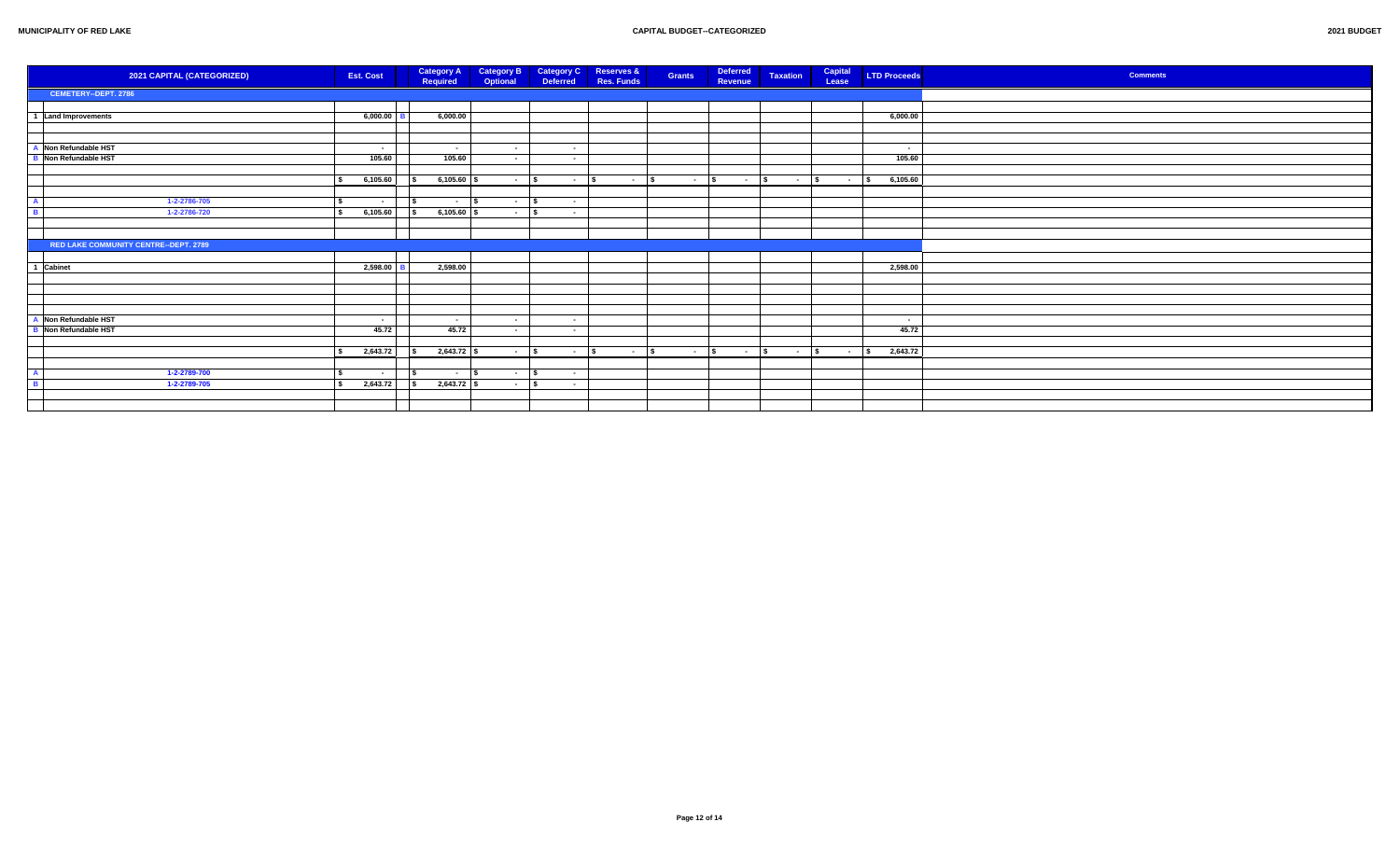| <b>Category A</b><br>Category C<br><b>Deferred</b><br>Capital<br><b>Category B</b><br><b>Reserves &amp;</b><br>Grants<br><b>Est. Cost</b><br><b>Taxation</b><br>2021 CAPITAL (CATEGORIZED)<br><b>Comments</b><br><b>LTD Proceeds</b><br>Deferred<br>Optional<br>Res. Funds<br>Required<br>Revenue<br>Lease |  |
|------------------------------------------------------------------------------------------------------------------------------------------------------------------------------------------------------------------------------------------------------------------------------------------------------------|--|
| CEMETERY--DEPT. 2786                                                                                                                                                                                                                                                                                       |  |
|                                                                                                                                                                                                                                                                                                            |  |
| 6,000.00<br>6,000.00<br>6,000.00<br><b>Land Improvements</b>                                                                                                                                                                                                                                               |  |
|                                                                                                                                                                                                                                                                                                            |  |
|                                                                                                                                                                                                                                                                                                            |  |
| Non Refundable HST<br>$\sim 100$<br>$\sim$ 100 $\mu$<br>$\sim$<br>$\sim$<br>$\sim$                                                                                                                                                                                                                         |  |
| Non Refundable HST<br>105.60<br>105.60<br>105.60<br>$\sim$ $-$<br>$\sim$ $-$                                                                                                                                                                                                                               |  |
|                                                                                                                                                                                                                                                                                                            |  |
| $\sim$ $\sim$ $\sim$ $\sim$ $\sim$<br>6,105.60<br>$6,105.60$ \$<br>$\sim$ $\sim$ $\sim$<br>6,105.60<br>$ s$<br>$ \sqrt{5}$<br>$ s$<br>$ \vert s \vert$                                                                                                                                                     |  |
|                                                                                                                                                                                                                                                                                                            |  |
| 1-2-2786-705<br>$\sqrt{ }$<br>$-$ \$<br>$\sim$<br>$\sim$<br>$\sim$                                                                                                                                                                                                                                         |  |
| 6,105.60<br>$6,105.60$ \$<br>1-2-2786-720<br>$\overline{\phantom{a}}$<br>$ s$<br>$\sim$ $-$                                                                                                                                                                                                                |  |
|                                                                                                                                                                                                                                                                                                            |  |
|                                                                                                                                                                                                                                                                                                            |  |
| RED LAKE COMMUNITY CENTRE--DEPT. 2789                                                                                                                                                                                                                                                                      |  |
|                                                                                                                                                                                                                                                                                                            |  |
| 2,598.00<br>2,598.00<br>1 Cabinet<br>2,598.00                                                                                                                                                                                                                                                              |  |
|                                                                                                                                                                                                                                                                                                            |  |
|                                                                                                                                                                                                                                                                                                            |  |
|                                                                                                                                                                                                                                                                                                            |  |
|                                                                                                                                                                                                                                                                                                            |  |
| Non Refundable HST<br>$\sim$ $-$<br>$\sim$<br>$\sim 100$<br>$\sim$<br>$\sim$                                                                                                                                                                                                                               |  |
| <b>B</b> Non Refundable HST<br>45.72<br>45.72<br>45.72<br>$\sim$ $-$<br>$\sim$ $-$                                                                                                                                                                                                                         |  |
| $\overline{\phantom{a}}$<br>$ s$<br>$ s$<br>$ \sqrt{s}$<br>$ s$<br>l s                                                                                                                                                                                                                                     |  |
| $2,643.72$ \$<br>2,643.72<br>2,643.72<br>$ \sqrt{5}$<br>$ s$                                                                                                                                                                                                                                               |  |
|                                                                                                                                                                                                                                                                                                            |  |
| 1-2-2789-700<br>$\sqrt{2}$<br><b>IS</b><br>l S<br>$\sim$ $-$<br>$\sim$<br>$\sim$<br>$\sim$<br>1-2-2789-705<br>$\sqrt{2}$<br>$ s$<br>$\sim$                                                                                                                                                                 |  |
| $2,643.72$ \$<br>2,643.72<br>$\sim$ $-$                                                                                                                                                                                                                                                                    |  |
| —                                                                                                                                                                                                                                                                                                          |  |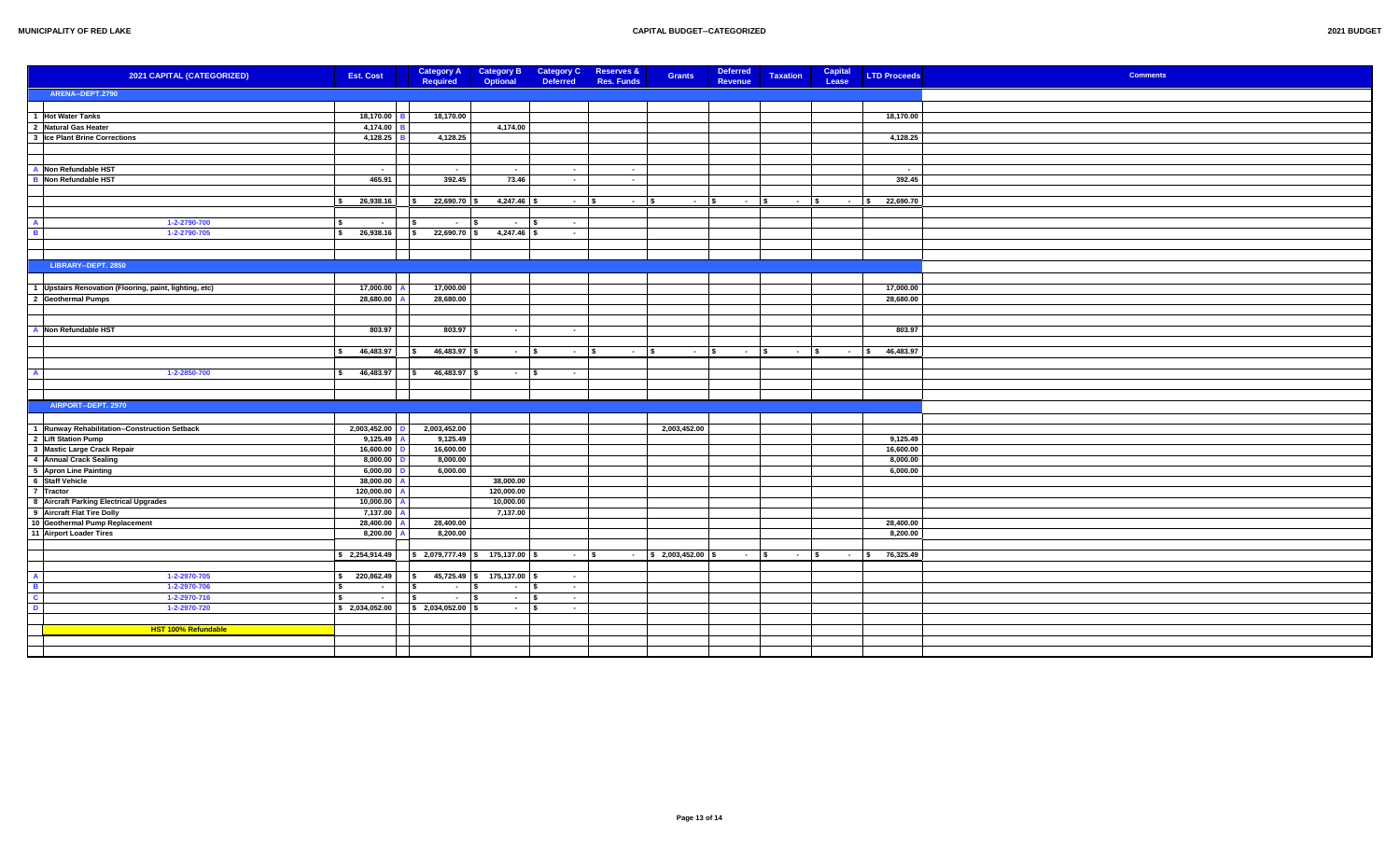| <b>2021 BUDGET</b> |
|--------------------|

| 2021 CAPITAL (CATEGORIZED)                               | <b>Est. Cost</b>          | <b>Category A</b><br>Required                                       | Optional                | Category B Category C Reserves &<br><b>Deferred</b> | Res. Funds  | <b>Grants</b>                    | <b>Deferred</b><br>Revenue | <b>Taxation</b>      | Capital<br><b>LTD Proceeds</b><br>Lease | <b>Comments</b> |
|----------------------------------------------------------|---------------------------|---------------------------------------------------------------------|-------------------------|-----------------------------------------------------|-------------|----------------------------------|----------------------------|----------------------|-----------------------------------------|-----------------|
| ARENA--DEPT.2790                                         |                           |                                                                     |                         |                                                     |             |                                  |                            |                      |                                         |                 |
|                                                          |                           |                                                                     |                         |                                                     |             |                                  |                            |                      |                                         |                 |
| 1 Hot Water Tanks                                        | 18,170.00                 | 18,170.00                                                           |                         |                                                     |             |                                  |                            |                      | 18,170.00                               |                 |
| 2 Natural Gas Heater                                     | 4,174.00                  |                                                                     | 4,174.00                |                                                     |             |                                  |                            |                      |                                         |                 |
| 3 Ice Plant Brine Corrections                            | 4,128.25                  | 4,128.25                                                            |                         |                                                     |             |                                  |                            |                      | 4,128.25                                |                 |
|                                                          |                           |                                                                     |                         |                                                     |             |                                  |                            |                      |                                         |                 |
|                                                          |                           |                                                                     |                         |                                                     |             |                                  |                            |                      |                                         |                 |
| A Non Refundable HST                                     | $\sim$                    | $\sim$ $-$                                                          | $\sim$                  | $\sim$                                              | $\sim$      |                                  |                            |                      | $\sim$                                  |                 |
| Non Refundable HST                                       | 465.91                    | 392.45                                                              | 73.46                   | $\sim$ 100 $\pm$                                    | $\sim$      |                                  |                            |                      | 392.45                                  |                 |
|                                                          |                           |                                                                     |                         |                                                     |             |                                  |                            |                      |                                         |                 |
|                                                          | 26,938.16<br>l S          | 22,690.70 \$<br>$\vert$ \$                                          | $4,247.46$ \$           | $ \sqrt{5}$                                         | $ \sqrt{ }$ | $\sim$                           | $\mathsf{I}$<br>$-$ \$     | $-$ \$               | $-$ \$ 22,690.70                        |                 |
|                                                          |                           |                                                                     |                         |                                                     |             |                                  |                            |                      |                                         |                 |
| 1-2-2790-700                                             | ls.<br>$\sim$             | l s<br>$ \sqrt{s}$                                                  | $\sim$                  | $\sim 100$<br>١s                                    |             |                                  |                            |                      |                                         |                 |
| 1-2-2790-705                                             | 26,938.16<br>ls.          | $22,690.70$ \$<br>$\vert$ s                                         | $4,247.46$ \$           | $\sim$                                              |             |                                  |                            |                      |                                         |                 |
|                                                          |                           |                                                                     |                         |                                                     |             |                                  |                            |                      |                                         |                 |
|                                                          |                           |                                                                     |                         |                                                     |             |                                  |                            |                      |                                         |                 |
| LIBRARY--DEPT. 2850                                      |                           |                                                                     |                         |                                                     |             |                                  |                            |                      |                                         |                 |
|                                                          |                           |                                                                     |                         |                                                     |             |                                  |                            |                      |                                         |                 |
| 1   Upstairs Renovation (Flooring, paint, lighting, etc) | 17,000.00                 | 17,000.00                                                           |                         |                                                     |             |                                  |                            |                      | 17,000.00                               |                 |
| 2 Geothermal Pumps                                       | 28,680.00                 | 28,680.00                                                           |                         |                                                     |             |                                  |                            |                      | 28,680.00                               |                 |
|                                                          |                           |                                                                     |                         |                                                     |             |                                  |                            |                      |                                         |                 |
|                                                          |                           |                                                                     |                         |                                                     |             |                                  |                            |                      |                                         |                 |
| A Non Refundable HST                                     | 803.97                    | 803.97                                                              | $\sim$ $-$              | $\sim$                                              |             |                                  |                            |                      | 803.97                                  |                 |
|                                                          |                           |                                                                     |                         |                                                     |             |                                  |                            |                      |                                         |                 |
|                                                          | 46,483.97<br>l S          | 46,483.97 \$<br>$\sqrt{2}$                                          | $ \sqrt{s}$             | $ \sqrt{5}$                                         | $ \sqrt{5}$ | $ \sqrt{s}$                      | $ \sqrt{5}$                | $\sim$ $\sim$ $\sim$ | 46,483.97<br>$-$ \$                     |                 |
|                                                          |                           |                                                                     |                         |                                                     |             |                                  |                            |                      |                                         |                 |
| 1-2-2850-700                                             | 46,483.97<br>ls.          | 46,483.97 \$<br>$\sqrt{ }$                                          | $\sim$                  | l \$<br>$\sim$                                      |             |                                  |                            |                      |                                         |                 |
|                                                          |                           |                                                                     |                         |                                                     |             |                                  |                            |                      |                                         |                 |
|                                                          |                           |                                                                     |                         |                                                     |             |                                  |                            |                      |                                         |                 |
| AIRPORT--DEPT. 2970                                      |                           |                                                                     |                         |                                                     |             |                                  |                            |                      |                                         |                 |
|                                                          |                           |                                                                     |                         |                                                     |             |                                  |                            |                      |                                         |                 |
| 1 Runway Rehabilitation--Construction Setback            | 2,003,452.00              | 2,003,452.00                                                        |                         |                                                     |             | 2,003,452.00                     |                            |                      |                                         |                 |
| 2 Lift Station Pump                                      | 9,125.49                  | 9,125.49                                                            |                         |                                                     |             |                                  |                            |                      | 9,125.49                                |                 |
| 3 Mastic Large Crack Repair                              | 16,600.00                 | 16,600.00                                                           |                         |                                                     |             |                                  |                            |                      | 16,600.00                               |                 |
| 4 Annual Crack Sealing                                   | 8,000.00                  | 8,000.00                                                            |                         |                                                     |             |                                  |                            |                      | 8,000.00                                |                 |
| 5 Apron Line Painting                                    | 6,000.00                  | 6,000.00                                                            |                         |                                                     |             |                                  |                            |                      | 6,000.00                                |                 |
| 6 Staff Vehicle                                          | 38,000.00                 |                                                                     | 38,000.00               |                                                     |             |                                  |                            |                      |                                         |                 |
| 7 Tractor                                                | 120,000.00                |                                                                     | 120,000.00              |                                                     |             |                                  |                            |                      |                                         |                 |
| 8 Aircraft Parking Electrical Upgrades                   | 10,000.00                 |                                                                     | 10,000.00               |                                                     |             |                                  |                            |                      |                                         |                 |
| 9 Aircraft Flat Tire Dolly                               | 7,137.00                  |                                                                     | 7,137.00                |                                                     |             |                                  |                            |                      |                                         |                 |
| 10 Geothermal Pump Replacement                           | 28,400.00                 | 28,400.00                                                           |                         |                                                     |             |                                  |                            |                      | 28,400.00                               |                 |
| 11 Airport Loader Tires                                  | 8,200.00                  | 8,200.00                                                            |                         |                                                     |             |                                  |                            |                      | 8,200.00                                |                 |
|                                                          |                           |                                                                     |                         |                                                     |             |                                  |                            |                      |                                         |                 |
|                                                          | \$ 2,254,914.49           | $\frac{1}{2}$ , 2,079,777.49 $\frac{1}{2}$ 175,137.00 $\frac{1}{2}$ |                         | $ \sqrt{5}$                                         |             | $\frac{1}{2}$ \$ 2,003,452.00 \$ | $ s$                       | $\sim$ $\sim$        | \$76,325.49                             |                 |
|                                                          |                           |                                                                     |                         |                                                     |             |                                  |                            |                      |                                         |                 |
| 1-2-2970-705                                             | \$220,862.49              | $\sqrt{2}$                                                          | 45,725.49 \$ 175,137.00 | $\sim$                                              |             |                                  |                            |                      |                                         |                 |
| 1-2-2970-706                                             | ls.<br>$\sim$             | l \$<br>$ \sqrt{s}$                                                 | $\sim$                  | $\sim$ $-$                                          |             |                                  |                            |                      |                                         |                 |
| 1-2-2970-716<br>$\mathbf{c}$                             | İs<br>$\sim$              | $\sqrt{S}$<br>$ \sqrt{5}$                                           | $\sim$ $-$              | $\sim$ $-$<br>l s                                   |             |                                  |                            |                      |                                         |                 |
| 1-2-2970-720<br>D                                        | $\frac{1}{2}$ ,034,052.00 | $\frac{1}{2}$ ,034,052.00 \$                                        | $\sim$ $-$              | IS.<br>$\sim$                                       |             |                                  |                            |                      |                                         |                 |
|                                                          |                           |                                                                     |                         |                                                     |             |                                  |                            |                      |                                         |                 |
| HST 100% Refundable                                      |                           |                                                                     |                         |                                                     |             |                                  |                            |                      |                                         |                 |
|                                                          |                           |                                                                     |                         |                                                     |             |                                  |                            |                      |                                         |                 |
|                                                          |                           |                                                                     |                         |                                                     |             |                                  |                            |                      |                                         |                 |
|                                                          |                           |                                                                     |                         |                                                     |             |                                  |                            |                      |                                         |                 |